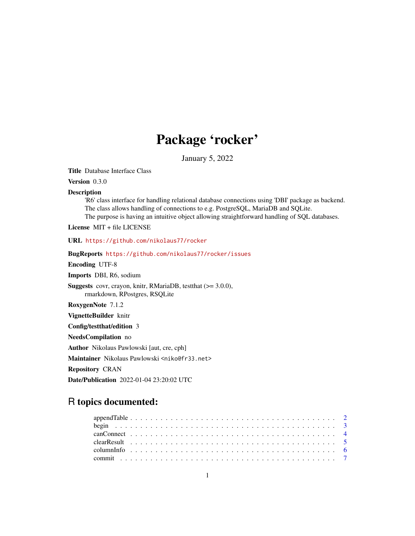# Package 'rocker'

January 5, 2022

<span id="page-0-0"></span>Title Database Interface Class

Version 0.3.0

#### Description

'R6' class interface for handling relational database connections using 'DBI' package as backend. The class allows handling of connections to e.g. PostgreSQL, MariaDB and SQLite. The purpose is having an intuitive object allowing straightforward handling of SQL databases.

License MIT + file LICENSE

URL <https://github.com/nikolaus77/rocker>

BugReports <https://github.com/nikolaus77/rocker/issues>

Encoding UTF-8

Imports DBI, R6, sodium

Suggests covr, crayon, knitr, RMariaDB, testthat (>= 3.0.0), rmarkdown, RPostgres, RSQLite

RoxygenNote 7.1.2

VignetteBuilder knitr

Config/testthat/edition 3

NeedsCompilation no

Author Nikolaus Pawlowski [aut, cre, cph]

Maintainer Nikolaus Pawlowski <niko@fr33.net>

Repository CRAN

Date/Publication 2022-01-04 23:20:02 UTC

# R topics documented: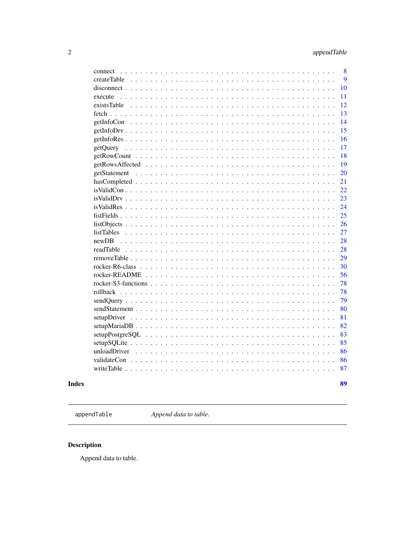89

<span id="page-1-0"></span>

| connect     | 8               |
|-------------|-----------------|
|             | 9               |
|             | 10              |
| execute     | 11              |
| existsTable | 12              |
|             | 13              |
|             | 14              |
|             | 15              |
|             | 16              |
|             | 17              |
|             | 18              |
|             | 19              |
|             | 20              |
|             | 21              |
|             | $\overline{22}$ |
|             | 23              |
|             | 24              |
|             | 25              |
|             | 26              |
|             | 27              |
|             | 28              |
|             | 28              |
|             | 29              |
|             | 30              |
|             | 56              |
|             | 78              |
|             | 78              |
|             | 79              |
|             | 80              |
|             | 81              |
|             | 82              |
|             | 83              |
|             | 85              |
|             | 86              |
|             | 86              |
|             | 87              |
|             |                 |

# **Index**

<span id="page-1-1"></span>appendTable

Append data to table.

# Description

Append data to table.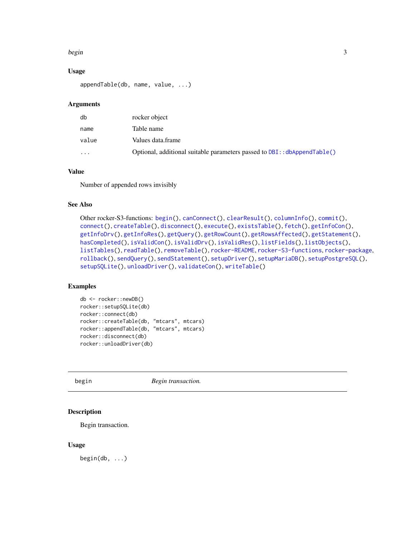#### <span id="page-2-0"></span>begin 3

### Usage

```
appendTable(db, name, value, ...)
```
# Arguments

| db       | rocker object                                                            |
|----------|--------------------------------------------------------------------------|
| name     | Table name                                                               |
| value    | Values data.frame                                                        |
| $\cdots$ | Optional, additional suitable parameters passed to DBI: :dbAppendTable() |

# Value

Number of appended rows invisibly

# See Also

```
Other rocker-S3-functions: begin(), canConnect(), clearResult(), columnInfo(), commit(),
connect(), createTable(), disconnect(), execute(), existsTable(), fetch(), getInfoCon(),
getInfoDrv(), getInfoRes(), getQuery(), getRowCount(), getRowsAffected(), getStatement(),
hasCompleted(), isValidCon(), isValidDrv(), isValidRes(), listFields(), listObjects(),
listTables(), readTable(), removeTable(), rocker-README, rocker-S3-functions, rocker-package,
rollback(), sendQuery(), sendStatement(), setupDriver(), setupMariaDB(), setupPostgreSQL(),
setupSQLite(), unloadDriver(), validateCon(), writeTable()
```
# Examples

```
db <- rocker::newDB()
rocker::setupSQLite(db)
rocker::connect(db)
rocker::createTable(db, "mtcars", mtcars)
rocker::appendTable(db, "mtcars", mtcars)
rocker::disconnect(db)
rocker::unloadDriver(db)
```
<span id="page-2-1"></span>begin *Begin transaction.*

#### Description

Begin transaction.

#### Usage

begin(db, ...)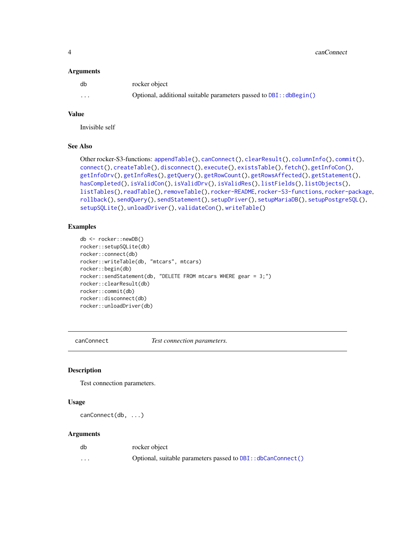4 canConnect 2 canConnect 2 canConnect 2 canConnect 2 canConnect 2 canConnect 2 canConnect 2 canConnect 2 canConnect 2 canConnect 2 canConnect 2 canConnect 2 canConnect 2 canConnect 2 canConnect 2 canConnect 2 canConnect 2

#### **Arguments**

| db | rocker object                                                      |
|----|--------------------------------------------------------------------|
| .  | Optional, additional suitable parameters passed to DBI:: dbBegin() |

#### Value

Invisible self

# See Also

```
Other rocker-S3-functions: appendTable(), canConnect(), clearResult(), columnInfo(), commit(),
connect(), createTable(), disconnect(), execute(), existsTable(), fetch(), getInfoCon(),
getInfoDrv(), getInfoRes(), getQuery(), getRowCount(), getRowsAffected(), getStatement(),
hasCompleted(), isValidCon(), isValidDrv(), isValidRes(), listFields(), listObjects(),
listTables(), readTable(), removeTable(), rocker-README, rocker-S3-functions, rocker-package,
rollback(), sendQuery(), sendStatement(), setupDriver(), setupMariaDB(), setupPostgreSQL(),
setupSQLite(), unloadDriver(), validateCon(), writeTable()
```
# Examples

```
db <- rocker::newDB()
rocker::setupSQLite(db)
rocker::connect(db)
rocker::writeTable(db, "mtcars", mtcars)
rocker::begin(db)
rocker::sendStatement(db, "DELETE FROM mtcars WHERE gear = 3;")
rocker::clearResult(db)
rocker::commit(db)
rocker::disconnect(db)
rocker::unloadDriver(db)
```
<span id="page-3-1"></span>

canConnect *Test connection parameters.*

#### Description

Test connection parameters.

# Usage

```
canConnect(db, ...)
```
#### Arguments

| db                      | rocker object                                                |
|-------------------------|--------------------------------------------------------------|
| $\cdot$ $\cdot$ $\cdot$ | Optional, suitable parameters passed to DBI:: dbCanConnect() |

<span id="page-3-0"></span>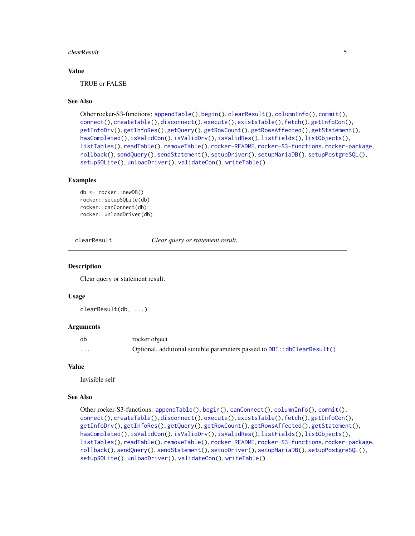#### <span id="page-4-0"></span>clearResult 5

# Value

TRUE or FALSE

#### See Also

```
Other rocker-S3-functions: appendTable(), begin(), clearResult(), columnInfo(), commit(),
connect(), createTable(), disconnect(), execute(), existsTable(), fetch(), getInfoCon(),
getInfoDrv(), getInfoRes(), getQuery(), getRowCount(), getRowsAffected(), getStatement(),
hasCompleted(), isValidCon(), isValidDrv(), isValidRes(), listFields(), listObjects(),
listTables(), readTable(), removeTable(), rocker-README, rocker-S3-functions, rocker-package,
rollback(), sendQuery(), sendStatement(), setupDriver(), setupMariaDB(), setupPostgreSQL(),
setupSQLite(), unloadDriver(), validateCon(), writeTable()
```
#### Examples

```
db <- rocker::newDB()
rocker::setupSQLite(db)
rocker::canConnect(db)
rocker::unloadDriver(db)
```
<span id="page-4-1"></span>clearResult *Clear query or statement result.*

#### **Description**

Clear query or statement result.

#### Usage

clearResult(db, ...)

# Arguments

| db       | rocker object                                                           |
|----------|-------------------------------------------------------------------------|
| $\cdots$ | Optional, additional suitable parameters passed to DBI::dbClearResult() |

#### Value

Invisible self

#### See Also

```
Other rocker-S3-functions: appendTable(), begin(), canConnect(), columnInfo(), commit(),
connect(), createTable(), disconnect(), execute(), existsTable(), fetch(), getInfoCon(),
getInfoDrv(), getInfoRes(), getQuery(), getRowCount(), getRowsAffected(), getStatement(),
hasCompleted(), isValidCon(), isValidDrv(), isValidRes(), listFields(), listObjects(),
listTables(), readTable(), removeTable(), rocker-README, rocker-S3-functions, rocker-package,
rollback(), sendQuery(), sendStatement(), setupDriver(), setupMariaDB(), setupPostgreSQL(),
setupSQLite(), unloadDriver(), validateCon(), writeTable()
```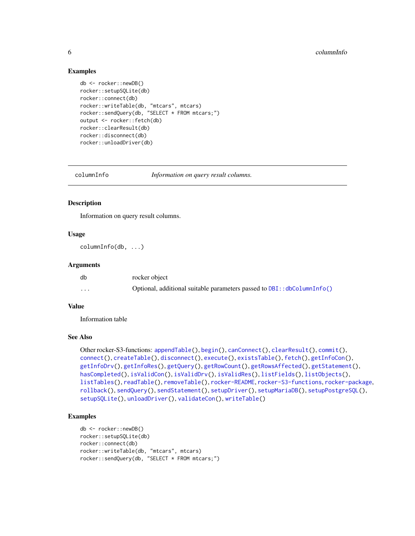#### Examples

```
db <- rocker::newDB()
rocker::setupSQLite(db)
rocker::connect(db)
rocker::writeTable(db, "mtcars", mtcars)
rocker::sendQuery(db, "SELECT * FROM mtcars;")
output <- rocker::fetch(db)
rocker::clearResult(db)
rocker::disconnect(db)
rocker::unloadDriver(db)
```
<span id="page-5-1"></span>

columnInfo *Information on query result columns.*

# Description

Information on query result columns.

#### Usage

columnInfo(db, ...)

# Arguments

| db       | rocker object                                                               |
|----------|-----------------------------------------------------------------------------|
| $\cdots$ | Optional, additional suitable parameters passed to $DBI$ : : dbColumnInfo() |

# Value

Information table

#### See Also

```
Other rocker-S3-functions: appendTable(), begin(), canConnect(), clearResult(), commit(),
connect(), createTable(), disconnect(), execute(), existsTable(), fetch(), getInfoCon(),
getInfoDrv(), getInfoRes(), getQuery(), getRowCount(), getRowsAffected(), getStatement(),
hasCompleted(), isValidCon(), isValidDrv(), isValidRes(), listFields(), listObjects(),
listTables(), readTable(), removeTable(), rocker-README, rocker-S3-functions, rocker-package,
rollback(), sendQuery(), sendStatement(), setupDriver(), setupMariaDB(), setupPostgreSQL(),
setupSQLite(), unloadDriver(), validateCon(), writeTable()
```

```
db <- rocker::newDB()
rocker::setupSQLite(db)
rocker::connect(db)
rocker::writeTable(db, "mtcars", mtcars)
rocker::sendQuery(db, "SELECT * FROM mtcars;")
```
<span id="page-5-0"></span>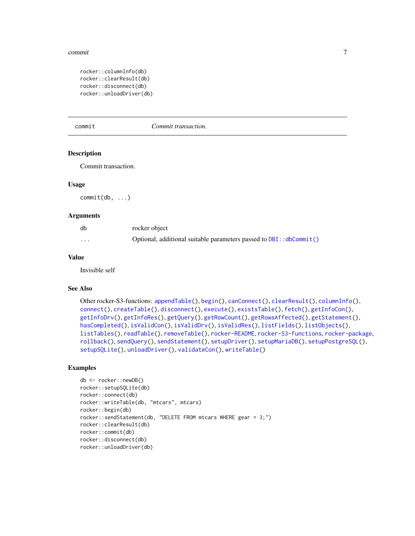#### <span id="page-6-0"></span>commit the commit of the contract of the contract of the contract of the contract of the contract of the contract of the contract of the contract of the contract of the contract of the contract of the contract of the contr

```
rocker::columnInfo(db)
rocker::clearResult(db)
rocker::disconnect(db)
rocker::unloadDriver(db)
```
<span id="page-6-1"></span>

commit *Commit transaction.*

#### Description

Commit transaction.

#### Usage

commit(db, ...)

#### Arguments

| db | rocker object                                                           |
|----|-------------------------------------------------------------------------|
| .  | Optional, additional suitable parameters passed to $DBI$ : : dbCommit() |

#### Value

Invisible self

# See Also

```
Other rocker-S3-functions: appendTable(), begin(), canConnect(), clearResult(), columnInfo(),
connect(), createTable(), disconnect(), execute(), existsTable(), fetch(), getInfoCon(),
getInfoDrv(), getInfoRes(), getQuery(), getRowCount(), getRowsAffected(), getStatement(),
hasCompleted(), isValidCon(), isValidDrv(), isValidRes(), listFields(), listObjects(),
listTables(), readTable(), removeTable(), rocker-README, rocker-S3-functions, rocker-package,
rollback(), sendQuery(), sendStatement(), setupDriver(), setupMariaDB(), setupPostgreSQL(),
setupSQLite(), unloadDriver(), validateCon(), writeTable()
```

```
db <- rocker::newDB()
rocker::setupSQLite(db)
rocker::connect(db)
rocker::writeTable(db, "mtcars", mtcars)
rocker::begin(db)
rocker::sendStatement(db, "DELETE FROM mtcars WHERE gear = 3;")
rocker::clearResult(db)
rocker::commit(db)
rocker::disconnect(db)
rocker::unloadDriver(db)
```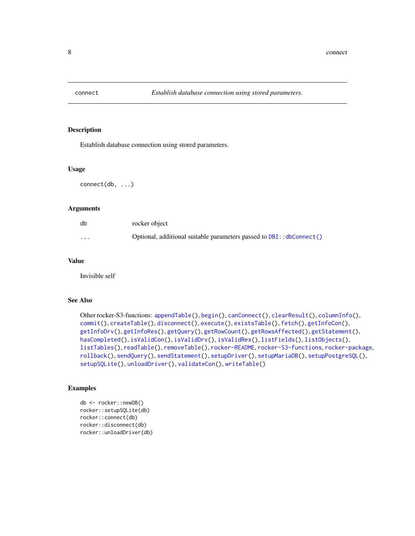<span id="page-7-1"></span><span id="page-7-0"></span>

Establish database connection using stored parameters.

#### Usage

connect(db, ...)

# Arguments

| db       | rocker object                                                             |
|----------|---------------------------------------------------------------------------|
| $\cdots$ | Optional, additional suitable parameters passed to $DBI$ : : dbConnect () |

# Value

Invisible self

#### See Also

```
Other rocker-S3-functions: appendTable(), begin(), canConnect(), clearResult(), columnInfo(),
commit(), createTable(), disconnect(), execute(), existsTable(), fetch(), getInfoCon(),
getInfoDrv(), getInfoRes(), getQuery(), getRowCount(), getRowsAffected(), getStatement(),
hasCompleted(), isValidCon(), isValidDrv(), isValidRes(), listFields(), listObjects(),
listTables(), readTable(), removeTable(), rocker-README, rocker-S3-functions, rocker-package,
rollback(), sendQuery(), sendStatement(), setupDriver(), setupMariaDB(), setupPostgreSQL(),
setupSQLite(), unloadDriver(), validateCon(), writeTable()
```

```
db <- rocker::newDB()
rocker::setupSQLite(db)
rocker::connect(db)
rocker::disconnect(db)
rocker::unloadDriver(db)
```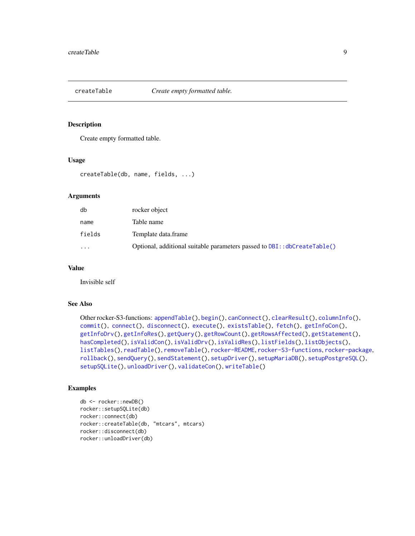<span id="page-8-1"></span><span id="page-8-0"></span>

Create empty formatted table.

#### Usage

```
createTable(db, name, fields, ...)
```
# Arguments

| db                      | rocker object                                                                |
|-------------------------|------------------------------------------------------------------------------|
| name                    | Table name                                                                   |
| fields                  | Template data.frame                                                          |
| $\cdot$ $\cdot$ $\cdot$ | Optional, additional suitable parameters passed to $DBI$ : $dbCreateTable()$ |

#### Value

Invisible self

#### See Also

```
Other rocker-S3-functions: appendTable(), begin(), canConnect(), clearResult(), columnInfo(),
commit(), connect(), disconnect(), execute(), existsTable(), fetch(), getInfoCon(),
getInfoDrv(), getInfoRes(), getQuery(), getRowCount(), getRowsAffected(), getStatement(),
hasCompleted(), isValidCon(), isValidDrv(), isValidRes(), listFields(), listObjects(),
listTables(), readTable(), removeTable(), rocker-README, rocker-S3-functions, rocker-package,
rollback(), sendQuery(), sendStatement(), setupDriver(), setupMariaDB(), setupPostgreSQL(),
setupSQLite(), unloadDriver(), validateCon(), writeTable()
```

```
db <- rocker::newDB()
rocker::setupSQLite(db)
rocker::connect(db)
rocker::createTable(db, "mtcars", mtcars)
rocker::disconnect(db)
rocker::unloadDriver(db)
```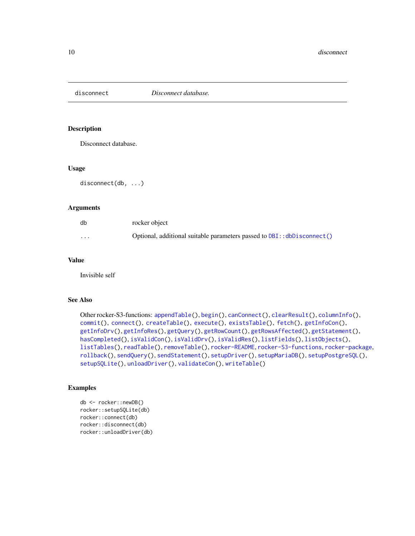<span id="page-9-1"></span><span id="page-9-0"></span>

Disconnect database.

#### Usage

disconnect(db, ...)

# Arguments

| db       | rocker object                                                                 |
|----------|-------------------------------------------------------------------------------|
| $\cdots$ | Optional, additional suitable parameters passed to $DBI$ : : $dbDisconnect()$ |

# Value

Invisible self

#### See Also

```
Other rocker-S3-functions: appendTable(), begin(), canConnect(), clearResult(), columnInfo(),
commit(), connect(), createTable(), execute(), existsTable(), fetch(), getInfoCon(),
getInfoDrv(), getInfoRes(), getQuery(), getRowCount(), getRowsAffected(), getStatement(),
hasCompleted(), isValidCon(), isValidDrv(), isValidRes(), listFields(), listObjects(),
listTables(), readTable(), removeTable(), rocker-README, rocker-S3-functions, rocker-package,
rollback(), sendQuery(), sendStatement(), setupDriver(), setupMariaDB(), setupPostgreSQL(),
setupSQLite(), unloadDriver(), validateCon(), writeTable()
```

```
db <- rocker::newDB()
rocker::setupSQLite(db)
rocker::connect(db)
rocker::disconnect(db)
rocker::unloadDriver(db)
```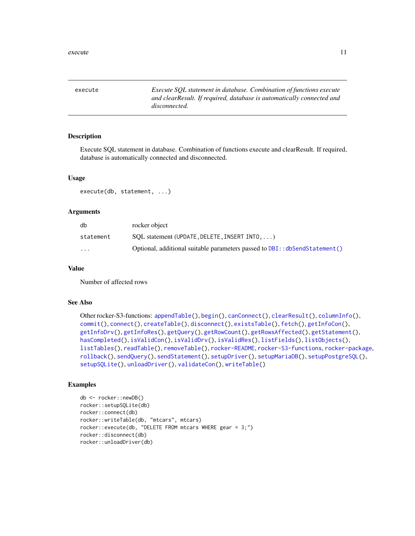<span id="page-10-1"></span><span id="page-10-0"></span>execute *Execute SQL statement in database. Combination of functions execute and clearResult. If required, database is automatically connected and disconnected.*

#### Description

Execute SQL statement in database. Combination of functions execute and clearResult. If required, database is automatically connected and disconnected.

# Usage

execute(db, statement, ...)

# Arguments

| db                      | rocker object                                                               |
|-------------------------|-----------------------------------------------------------------------------|
| statement               | $SOL$ statement (UPDATE, DELETE, INSERT INTO, $\ldots$ )                    |
| $\cdot$ $\cdot$ $\cdot$ | Optional, additional suitable parameters passed to DBI: : dbSendStatement() |

#### Value

Number of affected rows

# See Also

```
Other rocker-S3-functions: appendTable(), begin(), canConnect(), clearResult(), columnInfo(),
commit(), connect(), createTable(), disconnect(), existsTable(), fetch(), getInfoCon(),
getInfoDrv(), getInfoRes(), getQuery(), getRowCount(), getRowsAffected(), getStatement(),
hasCompleted(), isValidCon(), isValidDrv(), isValidRes(), listFields(), listObjects(),
listTables(), readTable(), removeTable(), rocker-README, rocker-S3-functions, rocker-package,
rollback(), sendQuery(), sendStatement(), setupDriver(), setupMariaDB(), setupPostgreSQL(),
setupSQLite(), unloadDriver(), validateCon(), writeTable()
```

```
db <- rocker::newDB()
rocker::setupSQLite(db)
rocker::connect(db)
rocker::writeTable(db, "mtcars", mtcars)
rocker::execute(db, "DELETE FROM mtcars WHERE gear = 3;")
rocker::disconnect(db)
rocker::unloadDriver(db)
```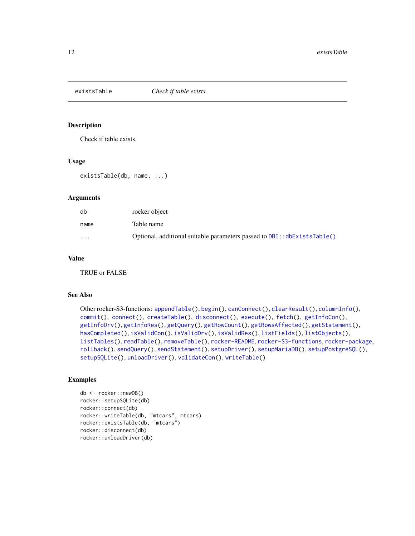<span id="page-11-1"></span><span id="page-11-0"></span>

Check if table exists.

# Usage

```
existsTable(db, name, ...)
```
#### Arguments

| db                      | rocker object                                                              |
|-------------------------|----------------------------------------------------------------------------|
| name                    | Table name                                                                 |
| $\cdot$ $\cdot$ $\cdot$ | Optional, additional suitable parameters passed to $DBI$ : $dbExistable()$ |

#### Value

TRUE or FALSE

#### See Also

```
Other rocker-S3-functions: appendTable(), begin(), canConnect(), clearResult(), columnInfo(),
commit(connect(createTable(disconnect(execute(fetch(getInfoCon(),
getInfoDrv(), getInfoRes(), getQuery(), getRowCount(), getRowsAffected(), getStatement(),
hasCompleted(), isValidCon(), isValidDrv(), isValidRes(), listFields(), listObjects(),
listTables(), readTable(), removeTable(), rocker-README, rocker-S3-functions, rocker-package,
rollback(), sendQuery(), sendStatement(), setupDriver(), setupMariaDB(), setupPostgreSQL(),
setupSQLite(), unloadDriver(), validateCon(), writeTable()
```

```
db <- rocker::newDB()
rocker::setupSQLite(db)
rocker::connect(db)
rocker::writeTable(db, "mtcars", mtcars)
rocker::existsTable(db, "mtcars")
rocker::disconnect(db)
rocker::unloadDriver(db)
```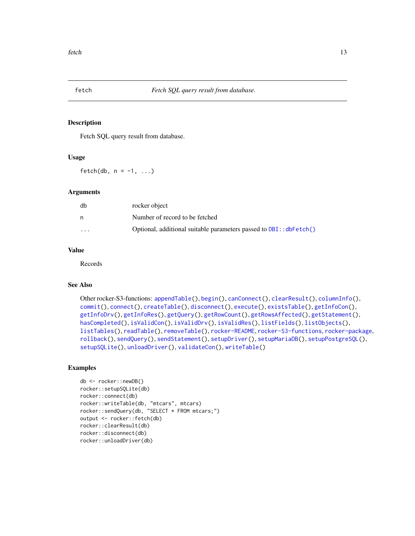<span id="page-12-1"></span><span id="page-12-0"></span>

Fetch SQL query result from database.

#### Usage

fetch(db,  $n = -1, ...$ )

#### **Arguments**

| db       | rocker object                                                          |
|----------|------------------------------------------------------------------------|
|          | Number of record to be fetched                                         |
| $\cdots$ | Optional, additional suitable parameters passed to $DBI$ : : dbFetch() |

# Value

Records

# See Also

```
Other rocker-S3-functions: appendTable(), begin(), canConnect(), clearResult(), columnInfo(),
commit(), connect(), createTable(), disconnect(), execute(), existsTable(), getInfoCon(),
getInfoDrv(), getInfoRes(), getQuery(), getRowCount(), getRowsAffected(), getStatement(),
hasCompleted(), isValidCon(), isValidDrv(), isValidRes(), listFields(), listObjects(),
listTables(), readTable(), removeTable(), rocker-README, rocker-S3-functions, rocker-package,
rollback(), sendQuery(), sendStatement(), setupDriver(), setupMariaDB(), setupPostgreSQL(),
setupSQLite(), unloadDriver(), validateCon(), writeTable()
```

```
db <- rocker::newDB()
rocker::setupSQLite(db)
rocker::connect(db)
rocker::writeTable(db, "mtcars", mtcars)
rocker::sendQuery(db, "SELECT * FROM mtcars;")
output <- rocker::fetch(db)
rocker::clearResult(db)
rocker::disconnect(db)
rocker::unloadDriver(db)
```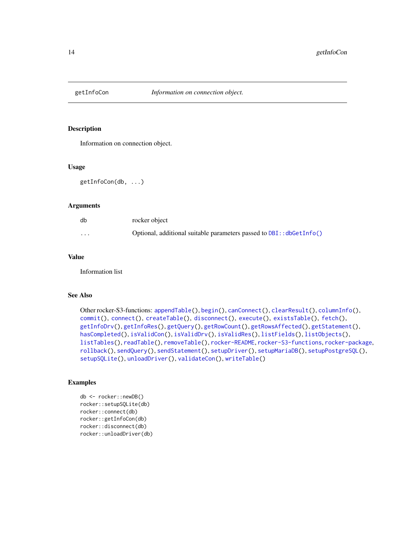<span id="page-13-1"></span><span id="page-13-0"></span>

Information on connection object.

#### Usage

getInfoCon(db, ...)

#### Arguments

| db       | rocker object                                                            |
|----------|--------------------------------------------------------------------------|
| $\cdots$ | Optional, additional suitable parameters passed to $DBI$ : : dbGetInfo() |

#### Value

Information list

# See Also

```
Other rocker-S3-functions: appendTable(), begin(), canConnect(), clearResult(), columnInfo(),
commit(), connect(), createTable(), disconnect(), execute(), existsTable(), fetch(),
getInfoDrv(), getInfoRes(), getQuery(), getRowCount(), getRowsAffected(), getStatement(),
hasCompleted(), isValidCon(), isValidDrv(), isValidRes(), listFields(), listObjects(),
listTables(), readTable(), removeTable(), rocker-README, rocker-S3-functions, rocker-package,
rollback(), sendQuery(), sendStatement(), setupDriver(), setupMariaDB(), setupPostgreSQL(),
setupSQLite(), unloadDriver(), validateCon(), writeTable()
```

```
db <- rocker::newDB()
rocker::setupSQLite(db)
rocker::connect(db)
rocker::getInfoCon(db)
rocker::disconnect(db)
rocker::unloadDriver(db)
```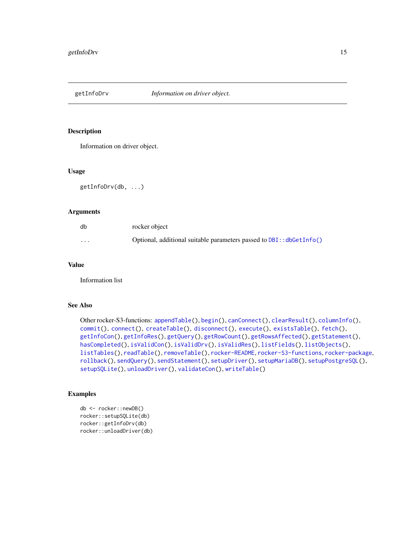<span id="page-14-1"></span><span id="page-14-0"></span>

Information on driver object.

#### Usage

```
getInfoDrv(db, ...)
```
# Arguments

| db       | rocker object                                                            |
|----------|--------------------------------------------------------------------------|
| $\cdots$ | Optional, additional suitable parameters passed to $DBI$ : : dbGetInfo() |

# Value

Information list

# See Also

```
Other rocker-S3-functions: appendTable(), begin(), canConnect(), clearResult(), columnInfo(),
commit(), connect(), createTable(), disconnect(), execute(), existsTable(), fetch(),
getInfoCon(), getInfoRes(), getQuery(), getRowCount(), getRowsAffected(), getStatement(),
hasCompleted(), isValidCon(), isValidDrv(), isValidRes(), listFields(), listObjects(),
listTables(), readTable(), removeTable(), rocker-README, rocker-S3-functions, rocker-package,
rollback(), sendQuery(), sendStatement(), setupDriver(), setupMariaDB(), setupPostgreSQL(),
setupSQLite(), unloadDriver(), validateCon(), writeTable()
```

```
db <- rocker::newDB()
rocker::setupSQLite(db)
rocker::getInfoDrv(db)
rocker::unloadDriver(db)
```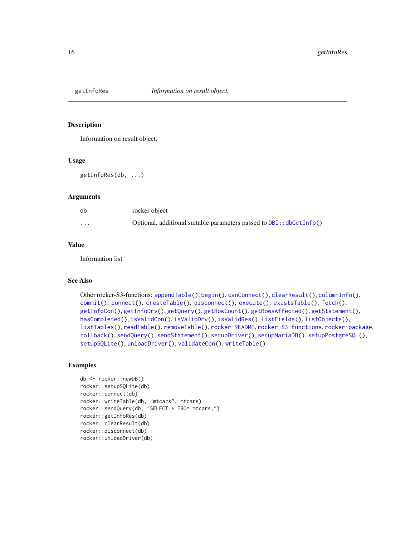<span id="page-15-1"></span><span id="page-15-0"></span>

Information on result object.

#### Usage

getInfoRes(db, ...)

# Arguments

| db       | rocker object                                                        |
|----------|----------------------------------------------------------------------|
| $\cdots$ | Optional, additional suitable parameters passed to DBI:: dbGetInfo() |

# Value

Information list

#### See Also

```
Other rocker-S3-functions: appendTable(), begin(), canConnect(), clearResult(), columnInfo(),
commit(), connect(), createTable(), disconnect(), execute(), existsTable(), fetch(),
getInfoCon(), getInfoDrv(), getQuery(), getRowCount(), getRowsAffected(), getStatement(),
hasCompleted(), isValidCon(), isValidDrv(), isValidRes(), listFields(), listObjects(),
listTables(), readTable(), removeTable(), rocker-README, rocker-S3-functions, rocker-package,
rollback(), sendQuery(), sendStatement(), setupDriver(), setupMariaDB(), setupPostgreSQL(),
setupSQLite(), unloadDriver(), validateCon(), writeTable()
```

```
db <- rocker::newDB()
rocker::setupSQLite(db)
rocker::connect(db)
rocker::writeTable(db, "mtcars", mtcars)
rocker::sendQuery(db, "SELECT * FROM mtcars;")
rocker::getInfoRes(db)
rocker::clearResult(db)
rocker::disconnect(db)
rocker::unloadDriver(db)
```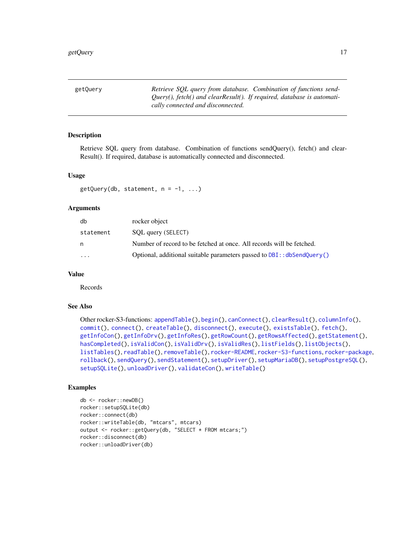<span id="page-16-1"></span><span id="page-16-0"></span>getQuery *Retrieve SQL query from database. Combination of functions send-Query(), fetch() and clearResult(). If required, database is automatically connected and disconnected.*

#### Description

Retrieve SQL query from database. Combination of functions sendQuery(), fetch() and clear-Result(). If required, database is automatically connected and disconnected.

#### Usage

 $getQuery(db, statement, n = -1, ...)$ 

# Arguments

| db        | rocker object                                                              |
|-----------|----------------------------------------------------------------------------|
| statement | SOL query (SELECT)                                                         |
| n         | Number of record to be fetched at once. All records will be fetched.       |
| $\ddotsc$ | Optional, additional suitable parameters passed to $DBI$ : $dbSendQuery()$ |

#### Value

Records

# See Also

```
Other rocker-S3-functions: appendTable(), begin(), canConnect(), clearResult(), columnInfo(),
commit(), connect(), createTable(), disconnect(), execute(), existsTable(), fetch(),
getInfoCon(), getInfoDrv(), getInfoRes(), getRowCount(), getRowsAffected(), getStatement(),
hasCompleted(), isValidCon(), isValidDrv(), isValidRes(), listFields(), listObjects(),
listTables(), readTable(), removeTable(), rocker-README, rocker-S3-functions, rocker-package,
rollback(), sendQuery(), sendStatement(), setupDriver(), setupMariaDB(), setupPostgreSQL(),
setupSQLite(), unloadDriver(), validateCon(), writeTable()
```

```
db <- rocker::newDB()
rocker::setupSQLite(db)
rocker::connect(db)
rocker::writeTable(db, "mtcars", mtcars)
output <- rocker::getQuery(db, "SELECT * FROM mtcars;")
rocker::disconnect(db)
rocker::unloadDriver(db)
```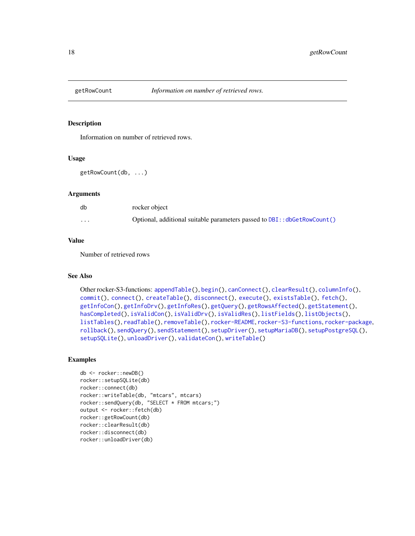<span id="page-17-1"></span><span id="page-17-0"></span>

Information on number of retrieved rows.

#### Usage

```
getRowCount(db, ...)
```
#### Arguments

| db       | rocker object                                                            |
|----------|--------------------------------------------------------------------------|
| $\cdots$ | Optional, additional suitable parameters passed to DBI:: dbGetRowCount() |

#### Value

Number of retrieved rows

# See Also

```
Other rocker-S3-functions: appendTable(), begin(), canConnect(), clearResult(), columnInfo(),
commit(), connect(), createTable(), disconnect(), execute(), existsTable(), fetch(),
getInfoCon(), getInfoDrv(), getInfoRes(), getQuery(), getRowsAffected(), getStatement(),
hasCompleted(), isValidCon(), isValidDrv(), isValidRes(), listFields(), listObjects(),
listTables(), readTable(), removeTable(), rocker-README, rocker-S3-functions, rocker-package,
rollback(), sendQuery(), sendStatement(), setupDriver(), setupMariaDB(), setupPostgreSQL(),
setupSQLite(), unloadDriver(), validateCon(), writeTable()
```

```
db <- rocker::newDB()
rocker::setupSQLite(db)
rocker::connect(db)
rocker::writeTable(db, "mtcars", mtcars)
rocker::sendQuery(db, "SELECT * FROM mtcars;")
output <- rocker::fetch(db)
rocker::getRowCount(db)
rocker::clearResult(db)
rocker::disconnect(db)
rocker::unloadDriver(db)
```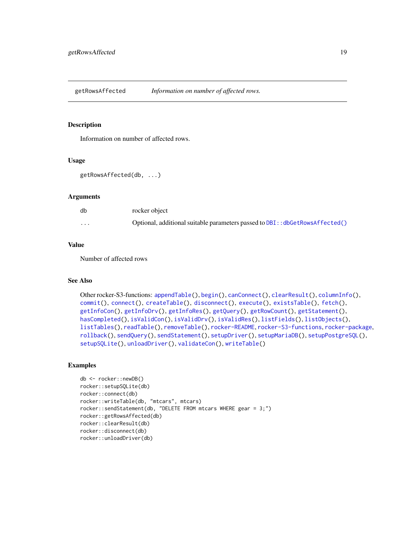<span id="page-18-1"></span><span id="page-18-0"></span>getRowsAffected *Information on number of affected rows.*

#### Description

Information on number of affected rows.

#### Usage

```
getRowsAffected(db, ...)
```
# Arguments

| db       | rocker object                                                                |
|----------|------------------------------------------------------------------------------|
| $\cdots$ | Optional, additional suitable parameters passed to DBI:: dbGetRowsAffected() |

# Value

Number of affected rows

#### See Also

```
Other rocker-S3-functions: appendTable(), begin(), canConnect(), clearResult(), columnInfo(),
commit(), connect(), createTable(), disconnect(), execute(), existsTable(), fetch(),
getInfoCon(), getInfoDrv(), getInfoRes(), getQuery(), getRowCount(), getStatement(),
hasCompleted(), isValidCon(), isValidDrv(), isValidRes(), listFields(), listObjects(),
listTables(), readTable(), removeTable(), rocker-README, rocker-S3-functions, rocker-package,
rollback(), sendQuery(), sendStatement(), setupDriver(), setupMariaDB(), setupPostgreSQL(),
setupSQLite(), unloadDriver(), validateCon(), writeTable()
```

```
db <- rocker::newDB()
rocker::setupSQLite(db)
rocker::connect(db)
rocker::writeTable(db, "mtcars", mtcars)
rocker::sendStatement(db, "DELETE FROM mtcars WHERE gear = 3;")
rocker::getRowsAffected(db)
rocker::clearResult(db)
rocker::disconnect(db)
rocker::unloadDriver(db)
```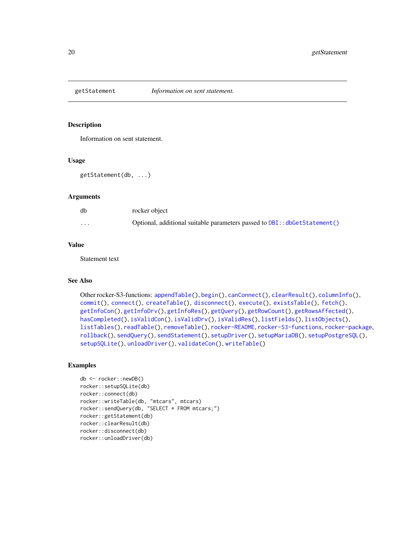<span id="page-19-1"></span><span id="page-19-0"></span>

Information on sent statement.

#### Usage

```
getStatement(db, ...)
```
# Arguments

| db       | rocker object                                                             |
|----------|---------------------------------------------------------------------------|
| $\cdots$ | Optional, additional suitable parameters passed to DBI:: dbGetStatement() |

# Value

Statement text

#### See Also

```
Other rocker-S3-functions: appendTable(), begin(), canConnect(), clearResult(), columnInfo(),
commit(), connect(), createTable(), disconnect(), execute(), existsTable(), fetch(),
getInfoCon(), getInfoDrv(), getInfoRes(), getQuery(), getRowCount(), getRowsAffected(),
hasCompleted(), isValidCon(), isValidDrv(), isValidRes(), listFields(), listObjects(),
listTables(), readTable(), removeTable(), rocker-README, rocker-S3-functions, rocker-package,
rollback(), sendQuery(), sendStatement(), setupDriver(), setupMariaDB(), setupPostgreSQL(),
setupSQLite(), unloadDriver(), validateCon(), writeTable()
```

```
db <- rocker::newDB()
rocker::setupSQLite(db)
rocker::connect(db)
rocker::writeTable(db, "mtcars", mtcars)
rocker::sendQuery(db, "SELECT * FROM mtcars;")
rocker::getStatement(db)
rocker::clearResult(db)
rocker::disconnect(db)
rocker::unloadDriver(db)
```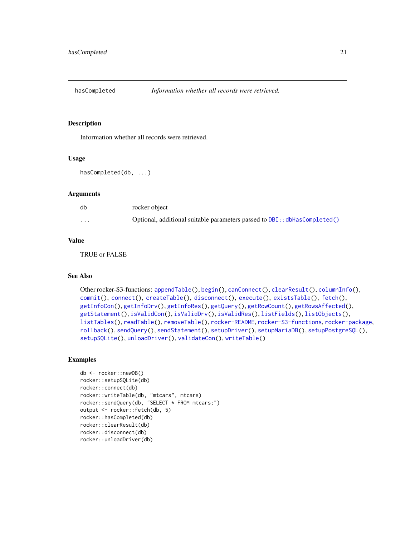<span id="page-20-1"></span><span id="page-20-0"></span>

Information whether all records were retrieved.

#### Usage

```
hasCompleted(db, ...)
```
# Arguments

| db                      | rocker object                                                             |
|-------------------------|---------------------------------------------------------------------------|
| $\cdot$ $\cdot$ $\cdot$ | Optional, additional suitable parameters passed to DBI:: dbHasCompleted() |

#### Value

TRUE or FALSE

# See Also

```
Other rocker-S3-functions: appendTable(), begin(), canConnect(), clearResult(), columnInfo(),
commit(), connect(), createTable(), disconnect(), execute(), existsTable(), fetch(),
getInfoCon(), getInfoDrv(), getInfoRes(), getQuery(), getRowCount(), getRowsAffected(),
getStatement(), isValidCon(), isValidDrv(), isValidRes(), listFields(), listObjects(),
listTables(), readTable(), removeTable(), rocker-README, rocker-S3-functions, rocker-package,
rollback(), sendQuery(), sendStatement(), setupDriver(), setupMariaDB(), setupPostgreSQL(),
setupSQLite(), unloadDriver(), validateCon(), writeTable()
```

```
db <- rocker::newDB()
rocker::setupSQLite(db)
rocker::connect(db)
rocker::writeTable(db, "mtcars", mtcars)
rocker::sendQuery(db, "SELECT * FROM mtcars;")
output <- rocker::fetch(db, 5)
rocker::hasCompleted(db)
rocker::clearResult(db)
rocker::disconnect(db)
rocker::unloadDriver(db)
```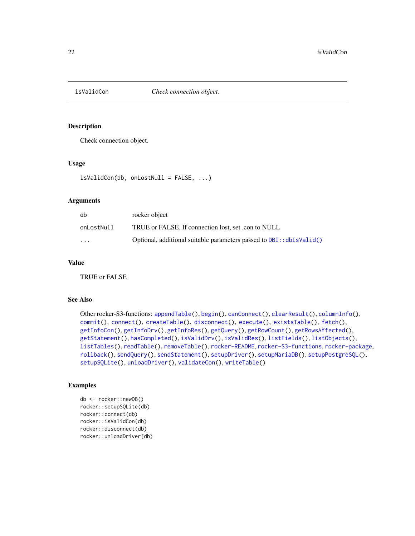<span id="page-21-1"></span><span id="page-21-0"></span>

Check connection object.

# Usage

isValidCon(db, onLostNull = FALSE, ...)

# Arguments

| db         | rocker object                                                              |
|------------|----------------------------------------------------------------------------|
| onLostNull | TRUE or FALSE. If connection lost, set .con to NULL                        |
| $\cdot$    | Optional, additional suitable parameters passed to $DBI$ : : $dbIsValid()$ |

#### Value

TRUE or FALSE

#### See Also

```
Other rocker-S3-functions: appendTable(), begin(), canConnect(), clearResult(), columnInfo(),
commit(), connect(), createTable(), disconnect(), execute(), existsTable(), fetch(),
getInfoCon(), getInfoDrv(), getInfoRes(), getQuery(), getRowCount(), getRowsAffected(),
getStatement(), hasCompleted(), isValidDrv(), isValidRes(), listFields(), listObjects(),
listTables(), readTable(), removeTable(), rocker-README, rocker-S3-functions, rocker-package,
rollback(), sendQuery(), sendStatement(), setupDriver(), setupMariaDB(), setupPostgreSQL(),
setupSQLite(), unloadDriver(), validateCon(), writeTable()
```

```
db <- rocker::newDB()
rocker::setupSQLite(db)
rocker::connect(db)
rocker::isValidCon(db)
rocker::disconnect(db)
rocker::unloadDriver(db)
```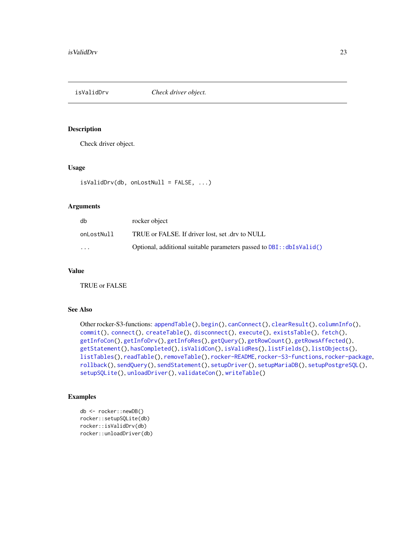<span id="page-22-1"></span><span id="page-22-0"></span>isValidDrv *Check driver object.*

Description

Check driver object.

#### Usage

isValidDrv(db, onLostNull = FALSE, ...)

#### Arguments

| db         | rocker object                                                              |
|------------|----------------------------------------------------------------------------|
| onLostNull | TRUE or FALSE. If driver lost, set .drv to NULL                            |
| $\cdots$   | Optional, additional suitable parameters passed to $DBI$ : : $dbIsValid()$ |

#### Value

TRUE or FALSE

# See Also

```
Other rocker-S3-functions: appendTable(), begin(), canConnect(), clearResult(), columnInfo(),
commit(), connect(), createTable(), disconnect(), execute(), existsTable(), fetch(),
getInfoCon(), getInfoDrv(), getInfoRes(), getQuery(), getRowCount(), getRowsAffected(),
getStatement(), hasCompleted(), isValidCon(), isValidRes(), listFields(), listObjects(),
listTables(), readTable(), removeTable(), rocker-README, rocker-S3-functions, rocker-package,
rollback(), sendQuery(), sendStatement(), setupDriver(), setupMariaDB(), setupPostgreSQL(),
setupSQLite(), unloadDriver(), validateCon(), writeTable()
```

```
db <- rocker::newDB()
rocker::setupSQLite(db)
rocker::isValidDrv(db)
rocker::unloadDriver(db)
```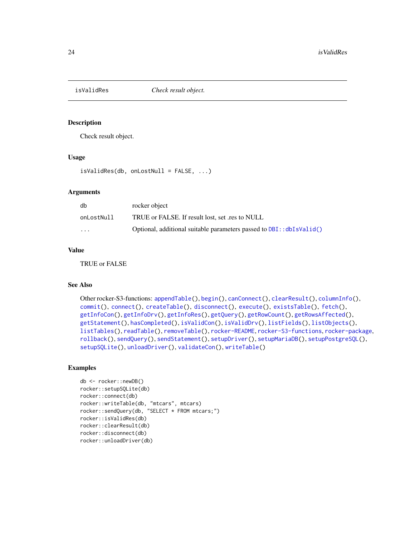<span id="page-23-1"></span><span id="page-23-0"></span>

Check result object.

#### Usage

 $isValidRes(db, onLostNull = FALSE, ...)$ 

#### **Arguments**

| db         | rocker object                                                              |
|------------|----------------------------------------------------------------------------|
| onLostNull | TRUE or FALSE. If result lost, set .res to NULL                            |
| $\cdots$   | Optional, additional suitable parameters passed to $DBI$ : : $dbIsValid()$ |

# Value

TRUE or FALSE

# See Also

```
Other rocker-S3-functions: appendTable(), begin(), canConnect(), clearResult(), columnInfo(),
commit(), connect(), createTable(), disconnect(), execute(), existsTable(), fetch(),
getInfoCon(), getInfoDrv(), getInfoRes(), getQuery(), getRowCount(), getRowsAffected(),
getStatement(), hasCompleted(), isValidCon(), isValidDrv(), listFields(), listObjects(),
listTables(), readTable(), removeTable(), rocker-README, rocker-S3-functions, rocker-package,
rollback(), sendQuery(), sendStatement(), setupDriver(), setupMariaDB(), setupPostgreSQL(),
setupSQLite(), unloadDriver(), validateCon(), writeTable()
```

```
db <- rocker::newDB()
rocker::setupSQLite(db)
rocker::connect(db)
rocker::writeTable(db, "mtcars", mtcars)
rocker::sendQuery(db, "SELECT * FROM mtcars;")
rocker::isValidRes(db)
rocker::clearResult(db)
rocker::disconnect(db)
rocker::unloadDriver(db)
```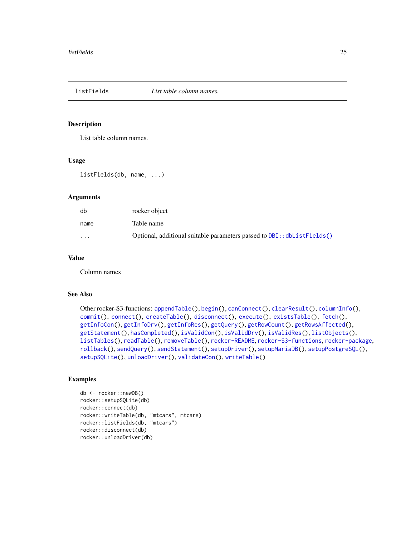<span id="page-24-1"></span><span id="page-24-0"></span>

List table column names.

#### Usage

```
listFields(db, name, ...)
```
# Arguments

| db       | rocker object                                                           |
|----------|-------------------------------------------------------------------------|
| name     | Table name                                                              |
| $\cdots$ | Optional, additional suitable parameters passed to DBI:: dbListFields() |

# Value

Column names

#### See Also

```
Other rocker-S3-functions: appendTable(), begin(), canConnect(), clearResult(), columnInfo(),
commit(), connect(), createTable(), disconnect(), execute(), existsTable(), fetch(),
getInfoCon(), getInfoDrv(), getInfoRes(), getQuery(), getRowCount(), getRowsAffected(),
getStatement(), hasCompleted(), isValidCon(), isValidDrv(), isValidRes(), listObjects(),
listTables(), readTable(), removeTable(), rocker-README, rocker-S3-functions, rocker-package,
rollback(), sendQuery(), sendStatement(), setupDriver(), setupMariaDB(), setupPostgreSQL(),
setupSQLite(), unloadDriver(), validateCon(), writeTable()
```

```
db <- rocker::newDB()
rocker::setupSQLite(db)
rocker::connect(db)
rocker::writeTable(db, "mtcars", mtcars)
rocker::listFields(db, "mtcars")
rocker::disconnect(db)
rocker::unloadDriver(db)
```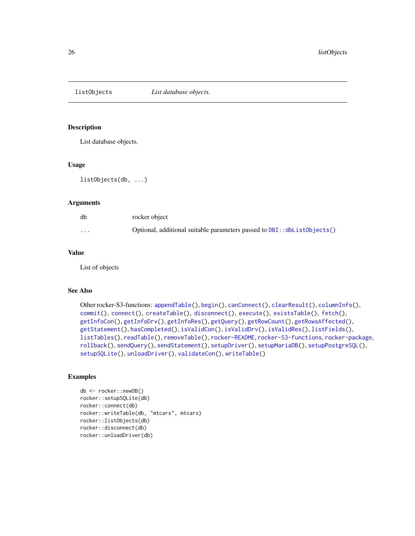<span id="page-25-1"></span><span id="page-25-0"></span>

List database objects.

# Usage

listObjects(db, ...)

#### Arguments

| db       | rocker object                                                                |
|----------|------------------------------------------------------------------------------|
| $\cdots$ | Optional, additional suitable parameters passed to $DBI$ : $dbListObject(s)$ |

# Value

List of objects

# See Also

```
Other rocker-S3-functions: appendTable(), begin(), canConnect(), clearResult(), columnInfo(),
commit(), connect(), createTable(), disconnect(), execute(), existsTable(), fetch(),
getInfoCon(), getInfoDrv(), getInfoRes(), getQuery(), getRowCount(), getRowsAffected(),
getStatement(), hasCompleted(), isValidCon(), isValidDrv(), isValidRes(), listFields(),
listTables(), readTable(), removeTable(), rocker-README, rocker-S3-functions, rocker-package,
rollback(), sendQuery(), sendStatement(), setupDriver(), setupMariaDB(), setupPostgreSQL(),
setupSQLite(), unloadDriver(), validateCon(), writeTable()
```

```
db <- rocker::newDB()
rocker::setupSQLite(db)
rocker::connect(db)
rocker::writeTable(db, "mtcars", mtcars)
rocker::listObjects(db)
rocker::disconnect(db)
rocker::unloadDriver(db)
```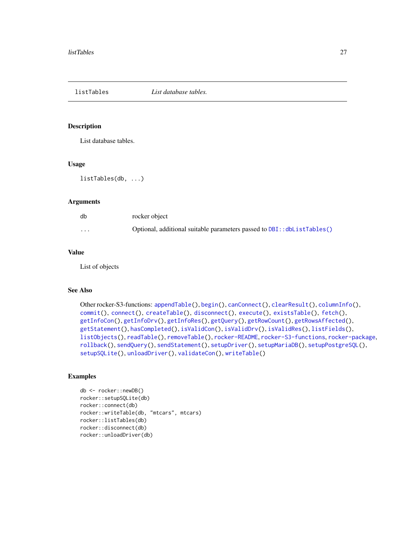<span id="page-26-1"></span><span id="page-26-0"></span>listTables *List database tables.*

# Description

List database tables.

# Usage

listTables(db, ...)

#### Arguments

| db       | rocker object                                                               |
|----------|-----------------------------------------------------------------------------|
| $\cdots$ | Optional, additional suitable parameters passed to $DBI$ : : dbListTables() |

#### Value

List of objects

# See Also

```
Other rocker-S3-functions: appendTable(), begin(), canConnect(), clearResult(), columnInfo(),
commit(), connect(), createTable(), disconnect(), execute(), existsTable(), fetch(),
getInfoCon(), getInfoDrv(), getInfoRes(), getQuery(), getRowCount(), getRowsAffected(),
getStatement(), hasCompleted(), isValidCon(), isValidDrv(), isValidRes(), listFields(),
listObjects(), readTable(), removeTable(), rocker-README, rocker-S3-functions, rocker-package,
rollback(), sendQuery(), sendStatement(), setupDriver(), setupMariaDB(), setupPostgreSQL(),
setupSQLite(), unloadDriver(), validateCon(), writeTable()
```

```
db <- rocker::newDB()
rocker::setupSQLite(db)
rocker::connect(db)
rocker::writeTable(db, "mtcars", mtcars)
rocker::listTables(db)
rocker::disconnect(db)
rocker::unloadDriver(db)
```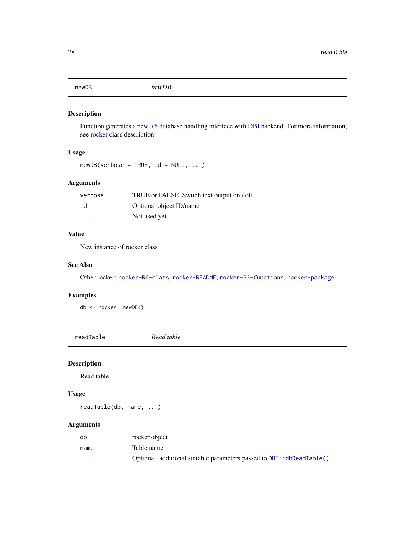#### <span id="page-27-0"></span>newDB *newDB*

# Description

Function generates a new [R6](#page-0-0) database handling interface with [DBI](#page-0-0) backend. For more information, see [rocker](#page-29-1) class description.

# Usage

 $newDB(verbose = TRUE, id = NULL, ...)$ 

# Arguments

| verbose                 | TRUE or FALSE. Switch text output on / off. |
|-------------------------|---------------------------------------------|
| id                      | Optional object ID/name                     |
| $\cdot$ $\cdot$ $\cdot$ | Not used yet                                |

# Value

New instance of rocker class

#### See Also

Other rocker: [rocker-R6-class](#page-29-2), [rocker-README](#page-55-1), [rocker-S3-functions](#page-77-1), [rocker-package](#page-0-0)

# Examples

db <- rocker::newDB()

<span id="page-27-1"></span>readTable *Read table.*

#### Description

Read table.

# Usage

readTable(db, name, ...)

# Arguments

| db                      | rocker object                                                           |
|-------------------------|-------------------------------------------------------------------------|
| name                    | Table name                                                              |
| $\cdot$ $\cdot$ $\cdot$ | Optional, additional suitable parameters passed to DBI: : dbReadTable() |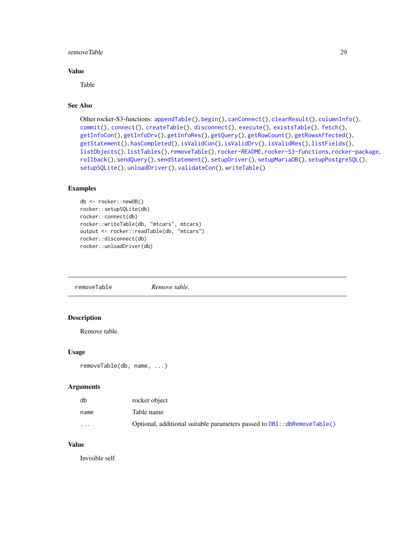#### <span id="page-28-0"></span>removeTable 29

#### Value

Table

# See Also

```
Other rocker-S3-functions: appendTable(), begin(), canConnect(), clearResult(), columnInfo(),
commit(), connect(), createTable(), disconnect(), execute(), existsTable(), fetch(),
getInfoCon(), getInfoDrv(), getInfoRes(), getQuery(), getRowCount(), getRowsAffected(),
getStatement(), hasCompleted(), isValidCon(), isValidDrv(), isValidRes(), listFields(),
listObjects(), listTables(), removeTable(), rocker-README, rocker-S3-functions, rocker-package,
rollback(), sendQuery(), sendStatement(), setupDriver(), setupMariaDB(), setupPostgreSQL(),
setupSQLite(), unloadDriver(), validateCon(), writeTable()
```
# Examples

```
db <- rocker::newDB()
rocker::setupSQLite(db)
rocker::connect(db)
rocker::writeTable(db, "mtcars", mtcars)
output <- rocker::readTable(db, "mtcars")
rocker::disconnect(db)
rocker::unloadDriver(db)
```
<span id="page-28-1"></span>removeTable *Remove table.*

# Description

Remove table.

#### Usage

```
removeTable(db, name, ...)
```
# Arguments

| db       | rocker object                                                                 |
|----------|-------------------------------------------------------------------------------|
| name     | Table name                                                                    |
| $\cdots$ | Optional, additional suitable parameters passed to $DBI$ : $db$ RemoveTable() |

#### Value

Invisible self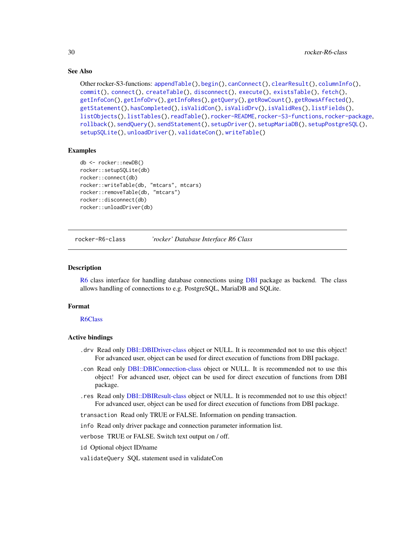# <span id="page-29-0"></span>See Also

```
Other rocker-S3-functions: appendTable(), begin(), canConnect(), clearResult(), columnInfo(),
commit(), connect(), createTable(), disconnect(), execute(), existsTable(), fetch(),
getInfoCon(), getInfoDrv(), getInfoRes(), getQuery(), getRowCount(), getRowsAffected(),
getStatement(), hasCompleted(), isValidCon(), isValidDrv(), isValidRes(), listFields(),
listObjects(), listTables(), readTable(), rocker-README, rocker-S3-functions, rocker-package,
rollback(), sendQuery(), sendStatement(), setupDriver(), setupMariaDB(), setupPostgreSQL(),
setupSQLite(), unloadDriver(), validateCon(), writeTable()
```
#### Examples

```
db <- rocker::newDB()
rocker::setupSQLite(db)
rocker::connect(db)
rocker::writeTable(db, "mtcars", mtcars)
rocker::removeTable(db, "mtcars")
rocker::disconnect(db)
rocker::unloadDriver(db)
```
<span id="page-29-2"></span>rocker-R6-class *'rocker' Database Interface R6 Class*

#### <span id="page-29-1"></span>Description

[R6](#page-0-0) class interface for handling database connections using [DBI](#page-0-0) package as backend. The class allows handling of connections to e.g. PostgreSQL, MariaDB and SQLite.

# Format

#### [R6Class](#page-0-0)

#### Active bindings

- .drv Read only [DBI::DBIDriver-class](#page-0-0) object or NULL. It is recommended not to use this object! For advanced user, object can be used for direct execution of functions from DBI package.
- .con Read only [DBI::DBIConnection-class](#page-0-0) object or NULL. It is recommended not to use this object! For advanced user, object can be used for direct execution of functions from DBI package.
- .res Read only [DBI::DBIResult-class](#page-0-0) object or NULL. It is recommended not to use this object! For advanced user, object can be used for direct execution of functions from DBI package.
- transaction Read only TRUE or FALSE. Information on pending transaction.

info Read only driver package and connection parameter information list.

verbose TRUE or FALSE. Switch text output on / off.

id Optional object ID/name

validateQuery SQL statement used in validateCon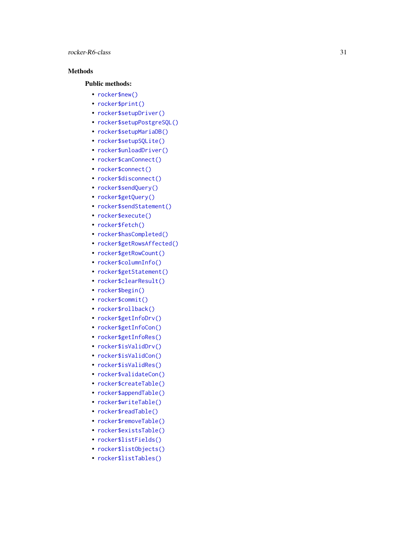# Methods

#### Public methods:

- [rocker\\$new\(\)](#page-30-0)
- [rocker\\$print\(\)](#page-31-0)
- [rocker\\$setupDriver\(\)](#page-31-1)
- [rocker\\$setupPostgreSQL\(\)](#page-31-2)
- [rocker\\$setupMariaDB\(\)](#page-32-0)
- [rocker\\$setupSQLite\(\)](#page-32-1)
- [rocker\\$unloadDriver\(\)](#page-33-0)
- [rocker\\$canConnect\(\)](#page-33-1)
- [rocker\\$connect\(\)](#page-33-2)
- [rocker\\$disconnect\(\)](#page-34-0)
- [rocker\\$sendQuery\(\)](#page-34-1)
- [rocker\\$getQuery\(\)](#page-34-2)
- [rocker\\$sendStatement\(\)](#page-35-0)
- [rocker\\$execute\(\)](#page-35-1)
- [rocker\\$fetch\(\)](#page-36-0)
- [rocker\\$hasCompleted\(\)](#page-36-1)
- [rocker\\$getRowsAffected\(\)](#page-36-2)
- [rocker\\$getRowCount\(\)](#page-37-0)
- [rocker\\$columnInfo\(\)](#page-37-1)
- [rocker\\$getStatement\(\)](#page-38-0)
- [rocker\\$clearResult\(\)](#page-38-1)
- [rocker\\$begin\(\)](#page-38-2)
- [rocker\\$commit\(\)](#page-39-0)
- [rocker\\$rollback\(\)](#page-39-1)
- [rocker\\$getInfoDrv\(\)](#page-40-0)
- [rocker\\$getInfoCon\(\)](#page-40-1)
- [rocker\\$getInfoRes\(\)](#page-40-2)
- [rocker\\$isValidDrv\(\)](#page-41-0)
- [rocker\\$isValidCon\(\)](#page-41-1)
- [rocker\\$isValidRes\(\)](#page-41-2)
- [rocker\\$validateCon\(\)](#page-42-0)
- [rocker\\$createTable\(\)](#page-42-1)
- [rocker\\$appendTable\(\)](#page-42-2)
- [rocker\\$writeTable\(\)](#page-43-0)
- [rocker\\$readTable\(\)](#page-43-1)
- [rocker\\$removeTable\(\)](#page-44-0)
- [rocker\\$existsTable\(\)](#page-44-1)
- [rocker\\$listFields\(\)](#page-44-2)
- [rocker\\$listObjects\(\)](#page-45-0)
- <span id="page-30-0"></span>• [rocker\\$listTables\(\)](#page-45-1)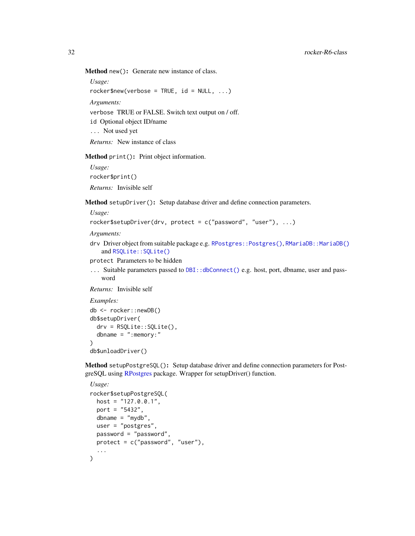Method new(): Generate new instance of class.

*Usage:*  $rocker$new(verbose = TRUE, id = NULL, ...)$ *Arguments:* verbose TRUE or FALSE. Switch text output on / off. id Optional object ID/name ... Not used yet *Returns:* New instance of class

<span id="page-31-0"></span>Method print(): Print object information.

*Usage:* rocker\$print() *Returns:* Invisible self

<span id="page-31-1"></span>Method setupDriver(): Setup database driver and define connection parameters.

*Usage:*

```
rocker$setupDriver(drv, protect = c("password", "user"), ...)
```
*Arguments:*

```
RPostgres::Postgres()RMariaDB::MariaDB()
  and RSQLite::SQLite()
```
protect Parameters to be hidden

... Suitable parameters passed to [DBI::dbConnect\(\)](#page-0-0) e.g. host, port, dbname, user and password

*Returns:* Invisible self

*Examples:*

```
db <- rocker::newDB()
db$setupDriver(
 drv = RSQLite::SQLite(),
  dbname = ": memory: "
)
db$unloadDriver()
```
<span id="page-31-2"></span>Method setupPostgreSQL(): Setup database driver and define connection parameters for PostgreSQL using [RPostgres](#page-0-0) package. Wrapper for setupDriver() function.

```
Usage:
rocker$setupPostgreSQL(
 host = "127.0.0.1",
 port = "5432",
 dbname = "mydb"
 user = "postgres",
 password = "password",
 protect = c("password", "user"),
  ...
)
```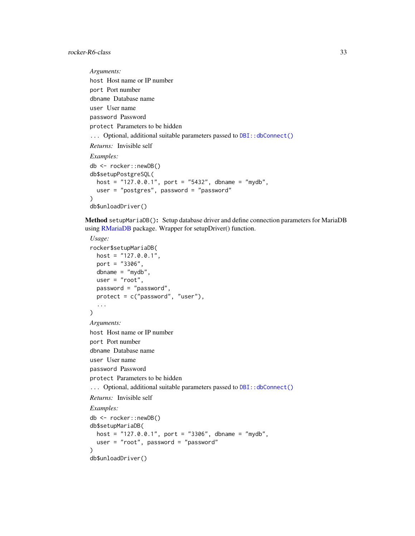```
Arguments:
host Host name or IP number
port Port number
dbname Database name
user User name
password Password
protect Parameters to be hidden
DBI::dbConnect()
Returns: Invisible self
Examples:
db <- rocker::newDB()
db$setupPostgreSQL(
 host = "127.0.0.1", port = "5432", dbname = "mydb",
 user = "postgres", password = "password"
)
db$unloadDriver()
```
<span id="page-32-0"></span>Method setupMariaDB(): Setup database driver and define connection parameters for MariaDB using [RMariaDB](#page-0-0) package. Wrapper for setupDriver() function.

```
Usage:
rocker$setupMariaDB(
 host = "127.0.0.1",
 port = "3306",
 dbname = "mydb",
 user = "root",
 password = "password",
 protect = c("password", "user"),
  ...
\lambdaArguments:
host Host name or IP number
port Port number
dbname Database name
user User name
password Password
protect Parameters to be hidden
DBI::dbConnect()
Returns: Invisible self
Examples:
db <- rocker::newDB()
db$setupMariaDB(
 host = "127.0.0.1", port = "3306", dbname = "mydb",
  user = "root", password = "password"
)
db$unloadDriver()
```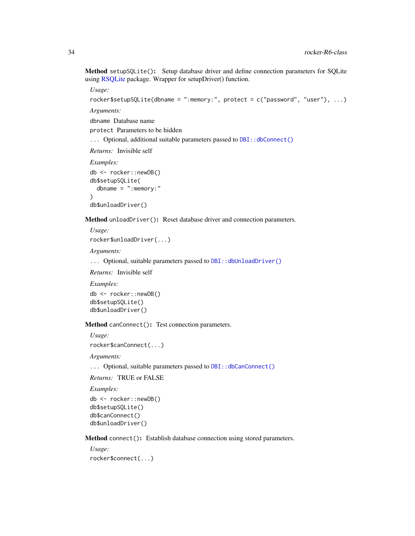Method setupSQLite(): Setup database driver and define connection parameters for SQLite using [RSQLite](#page-0-0) package. Wrapper for setupDriver() function.

*Usage:*

```
rocker$setupSQLite(dbname = ":memory:", protect = c("password", "user"), ...)
```
*Arguments:*

dbname Database name

protect Parameters to be hidden

... Optional, additional suitable parameters passed to [DBI::dbConnect\(\)](#page-0-0)

*Returns:* Invisible self

*Examples:*

db <- rocker::newDB() db\$setupSQLite( dbname =  $"$ : memory: " ) db\$unloadDriver()

<span id="page-33-0"></span>Method unloadDriver(): Reset database driver and connection parameters.

*Usage:*

rocker\$unloadDriver(...)

*Arguments:*

... Optional, suitable parameters passed to DBI:: dbUnloadDriver()

*Returns:* Invisible self

*Examples:*

```
db <- rocker::newDB()
db$setupSQLite()
db$unloadDriver()
```
<span id="page-33-1"></span>Method canConnect(): Test connection parameters.

*Usage:*

rocker\$canConnect(...)

*Arguments:*

... Optional, suitable parameters passed to [DBI::dbCanConnect\(\)](#page-0-0)

*Returns:* TRUE or FALSE

*Examples:*

```
db <- rocker::newDB()
db$setupSQLite()
db$canConnect()
db$unloadDriver()
```
<span id="page-33-2"></span>Method connect(): Establish database connection using stored parameters.

*Usage:* rocker\$connect(...)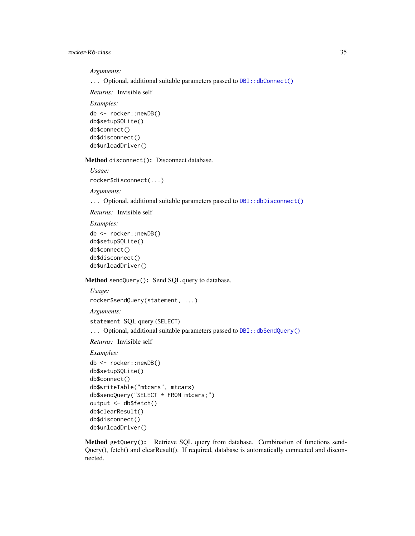*Arguments:*

... Optional, additional suitable parameters passed to [DBI::dbConnect\(\)](#page-0-0)

*Returns:* Invisible self

*Examples:* db <- rocker::newDB() db\$setupSQLite() db\$connect() db\$disconnect() db\$unloadDriver()

<span id="page-34-0"></span>Method disconnect(): Disconnect database.

*Usage:* rocker\$disconnect(...)

*Arguments:*

... Optional, additional suitable parameters passed to [DBI::dbDisconnect\(\)](#page-0-0)

*Returns:* Invisible self

*Examples:*

```
db <- rocker::newDB()
db$setupSQLite()
db$connect()
db$disconnect()
db$unloadDriver()
```
<span id="page-34-1"></span>Method sendQuery(): Send SQL query to database.

```
Usage:
rocker$sendQuery(statement, ...)
Arguments:
statement SQL query (SELECT)
... Optional, additional suitable parameters passed to DBI:: dbSendQuery()
```
*Returns:* Invisible self

# *Examples:*

```
db <- rocker::newDB()
db$setupSQLite()
db$connect()
db$writeTable("mtcars", mtcars)
db$sendQuery("SELECT * FROM mtcars;")
output <- db$fetch()
db$clearResult()
db$disconnect()
db$unloadDriver()
```
<span id="page-34-2"></span>Method getQuery(): Retrieve SQL query from database. Combination of functions send-Query(), fetch() and clearResult(). If required, database is automatically connected and disconnected.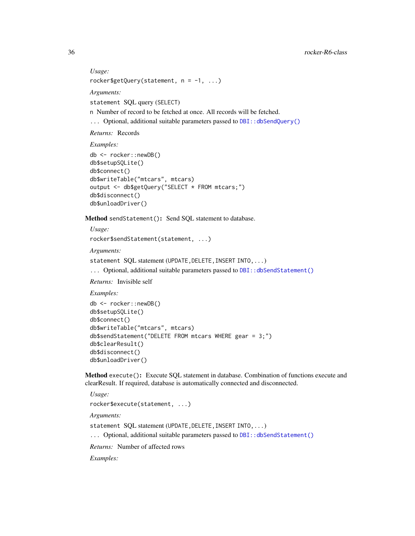*Usage:* rocker\$getQuery(statement,  $n = -1, ...$ )

*Arguments:*

statement SQL query (SELECT)

n Number of record to be fetched at once. All records will be fetched.

... Optional, additional suitable parameters passed to [DBI::dbSendQuery\(\)](#page-0-0)

*Returns:* Records

*Examples:*

```
db <- rocker::newDB()
db$setupSQLite()
db$connect()
db$writeTable("mtcars", mtcars)
output <- db$getQuery("SELECT * FROM mtcars;")
db$disconnect()
db$unloadDriver()
```
<span id="page-35-0"></span>Method sendStatement(): Send SQL statement to database.

*Usage:*

```
rocker$sendStatement(statement, ...)
```
*Arguments:*

```
statement SQL statement (UPDATE, DELETE, INSERT INTO, ...)
```
... Optional, additional suitable parameters passed to [DBI::dbSendStatement\(\)](#page-0-0)

*Returns:* Invisible self

*Examples:*

```
db <- rocker::newDB()
db$setupSQLite()
db$connect()
db$writeTable("mtcars", mtcars)
db$sendStatement("DELETE FROM mtcars WHERE gear = 3;")
db$clearResult()
db$disconnect()
db$unloadDriver()
```
<span id="page-35-1"></span>Method execute(): Execute SQL statement in database. Combination of functions execute and clearResult. If required, database is automatically connected and disconnected.

```
Usage:
rocker$execute(statement, ...)
Arguments:
statement SQL statement (UPDATE, DELETE, INSERT INTO, ...)
... Optional, additional suitable parameters passed to DBI:: dbSendStatement()
Returns: Number of affected rows
```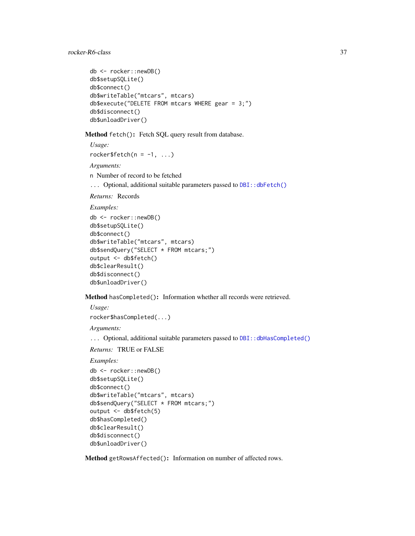```
db <- rocker::newDB()
db$setupSQLite()
db$connect()
db$writeTable("mtcars", mtcars)
db$execute("DELETE FROM mtcars WHERE gear = 3;")
db$disconnect()
db$unloadDriver()
```
Method fetch(): Fetch SQL query result from database.

*Usage:* rocker\$fetch( $n = -1, ...$ )

*Arguments:*

n Number of record to be fetched

... Optional, additional suitable parameters passed to [DBI::dbFetch\(\)](#page-0-0)

*Returns:* Records

*Examples:*

```
db <- rocker::newDB()
db$setupSQLite()
db$connect()
db$writeTable("mtcars", mtcars)
db$sendQuery("SELECT * FROM mtcars;")
output <- db$fetch()
db$clearResult()
db$disconnect()
db$unloadDriver()
```
Method hasCompleted(): Information whether all records were retrieved.

*Usage:*

rocker\$hasCompleted(...)

*Arguments:*

... Optional, additional suitable parameters passed to DBI:: dbHasCompleted()

*Returns:* TRUE or FALSE

*Examples:*

```
db <- rocker::newDB()
db$setupSQLite()
db$connect()
db$writeTable("mtcars", mtcars)
db$sendQuery("SELECT * FROM mtcars;")
output <- db$fetch(5)
db$hasCompleted()
db$clearResult()
db$disconnect()
db$unloadDriver()
```
Method getRowsAffected(): Information on number of affected rows.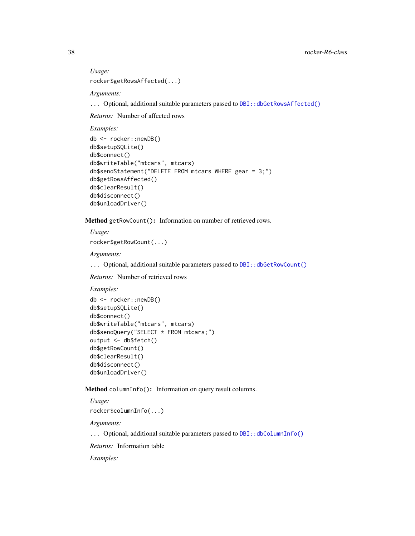*Usage:*

rocker\$getRowsAffected(...)

*Arguments:*

... Optional, additional suitable parameters passed to DBI:: dbGetRowsAffected()

*Returns:* Number of affected rows

*Examples:*

```
db <- rocker::newDB()
db$setupSQLite()
db$connect()
db$writeTable("mtcars", mtcars)
db$sendStatement("DELETE FROM mtcars WHERE gear = 3;")
db$getRowsAffected()
db$clearResult()
db$disconnect()
db$unloadDriver()
```
Method getRowCount(): Information on number of retrieved rows.

*Usage:*

rocker\$getRowCount(...)

*Arguments:*

... Optional, additional suitable parameters passed to [DBI::dbGetRowCount\(\)](#page-0-0)

*Returns:* Number of retrieved rows

*Examples:*

```
db <- rocker::newDB()
db$setupSQLite()
db$connect()
db$writeTable("mtcars", mtcars)
db$sendQuery("SELECT * FROM mtcars;")
output <- db$fetch()
db$getRowCount()
db$clearResult()
db$disconnect()
db$unloadDriver()
```
Method columnInfo(): Information on query result columns.

*Usage:*

rocker\$columnInfo(...)

*Arguments:*

... Optional, additional suitable parameters passed to [DBI::dbColumnInfo\(\)](#page-0-0)

*Returns:* Information table

*Examples:*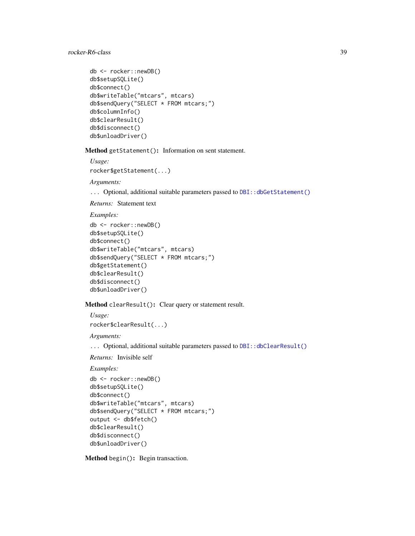```
db <- rocker::newDB()
db$setupSQLite()
db$connect()
db$writeTable("mtcars", mtcars)
db$sendQuery("SELECT * FROM mtcars;")
db$columnInfo()
db$clearResult()
db$disconnect()
db$unloadDriver()
```
Method getStatement(): Information on sent statement.

*Usage:*

rocker\$getStatement(...)

*Arguments:*

... Optional, additional suitable parameters passed to DBI:: dbGetStatement()

*Returns:* Statement text

*Examples:*

```
db <- rocker::newDB()
db$setupSQLite()
db$connect()
db$writeTable("mtcars", mtcars)
db$sendQuery("SELECT * FROM mtcars;")
db$getStatement()
db$clearResult()
db$disconnect()
db$unloadDriver()
```
Method clearResult(): Clear query or statement result.

*Usage:*

rocker\$clearResult(...)

*Arguments:*

... Optional, additional suitable parameters passed to [DBI::dbClearResult\(\)](#page-0-0)

*Returns:* Invisible self

*Examples:*

```
db <- rocker::newDB()
db$setupSQLite()
db$connect()
db$writeTable("mtcars", mtcars)
db$sendQuery("SELECT * FROM mtcars;")
output <- db$fetch()
db$clearResult()
db$disconnect()
db$unloadDriver()
```
Method begin(): Begin transaction.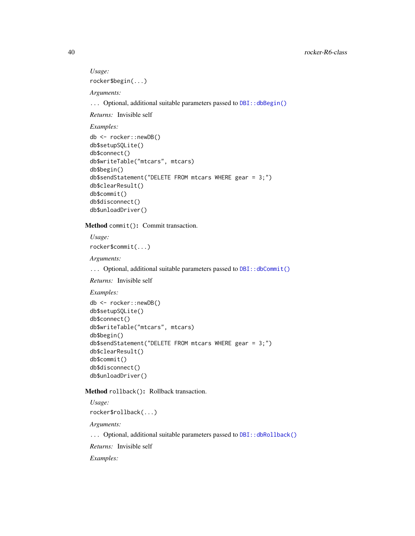*Usage:* rocker\$begin(...)

*Arguments:*

... Optional, additional suitable parameters passed to DBI:: dbBegin()

*Returns:* Invisible self

*Examples:*

```
db <- rocker::newDB()
db$setupSQLite()
db$connect()
db$writeTable("mtcars", mtcars)
db$begin()
db$sendStatement("DELETE FROM mtcars WHERE gear = 3;")
db$clearResult()
db$commit()
db$disconnect()
db$unloadDriver()
```
Method commit(): Commit transaction.

*Usage:* rocker\$commit(...)

*Arguments:*

... Optional, additional suitable parameters passed to DBI:: dbCommit()

*Returns:* Invisible self

*Examples:*

```
db <- rocker::newDB()
db$setupSQLite()
db$connect()
db$writeTable("mtcars", mtcars)
db$begin()
db$sendStatement("DELETE FROM mtcars WHERE gear = 3;")
db$clearResult()
db$commit()
db$disconnect()
db$unloadDriver()
```
Method rollback(): Rollback transaction.

*Usage:* rocker\$rollback(...) *Arguments:* ... Optional, additional suitable parameters passed to DBI:: dbRollback() *Returns:* Invisible self *Examples:*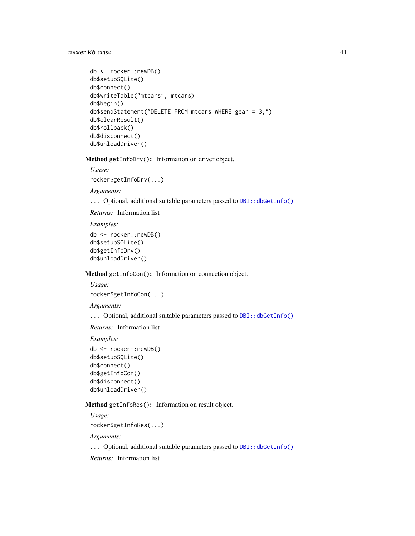```
db <- rocker::newDB()
db$setupSQLite()
db$connect()
db$writeTable("mtcars", mtcars)
db$begin()
db$sendStatement("DELETE FROM mtcars WHERE gear = 3;")
db$clearResult()
db$rollback()
db$disconnect()
db$unloadDriver()
```
Method getInfoDrv(): Information on driver object.

*Usage:*

rocker\$getInfoDrv(...)

*Arguments:*

... Optional, additional suitable parameters passed to DBI:: dbGetInfo()

*Returns:* Information list

*Examples:*

```
db <- rocker::newDB()
db$setupSQLite()
db$getInfoDrv()
db$unloadDriver()
```
Method getInfoCon(): Information on connection object.

```
Usage:
rocker$getInfoCon(...)
```
*Arguments:*

... Optional, additional suitable parameters passed to [DBI::dbGetInfo\(\)](#page-0-0)

*Returns:* Information list

*Examples:*

```
db <- rocker::newDB()
db$setupSQLite()
db$connect()
db$getInfoCon()
db$disconnect()
db$unloadDriver()
```
Method getInfoRes(): Information on result object.

*Usage:*

rocker\$getInfoRes(...)

*Arguments:*

... Optional, additional suitable parameters passed to DBI:: dbGetInfo()

*Returns:* Information list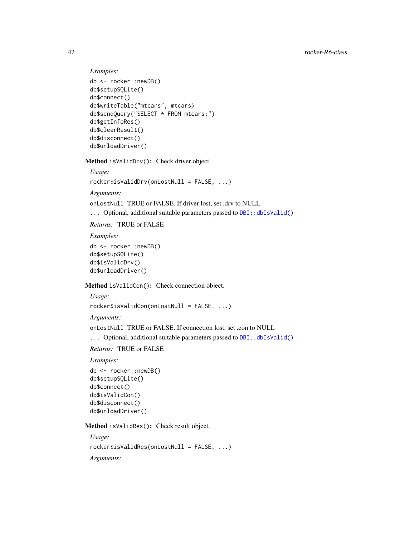```
Examples:
db <- rocker::newDB()
db$setupSQLite()
db$connect()
db$writeTable("mtcars", mtcars)
db$sendQuery("SELECT * FROM mtcars;")
db$getInfoRes()
db$clearResult()
db$disconnect()
db$unloadDriver()
```
Method isValidDrv(): Check driver object.

```
Usage:
rocker$isValidDrv(onLostNull = FALSE, ...)
```
*Arguments:*

onLostNull TRUE or FALSE. If driver lost, set .drv to NULL

... Optional, additional suitable parameters passed to [DBI::dbIsValid\(\)](#page-0-0)

*Returns:* TRUE or FALSE

*Examples:*

```
db <- rocker::newDB()
db$setupSQLite()
db$isValidDrv()
db$unloadDriver()
```
Method isValidCon(): Check connection object.

```
Usage:
```

```
rocker$isValidCon(onLostNull = FALSE, ...)
```
*Arguments:*

onLostNull TRUE or FALSE. If connection lost, set .con to NULL

... Optional, additional suitable parameters passed to [DBI::dbIsValid\(\)](#page-0-0)

*Returns:* TRUE or FALSE

*Examples:*

```
db <- rocker::newDB()
db$setupSQLite()
db$connect()
db$isValidCon()
db$disconnect()
db$unloadDriver()
```
Method isValidRes(): Check result object.

*Usage:* rocker\$isValidRes(onLostNull = FALSE, ...)

*Arguments:*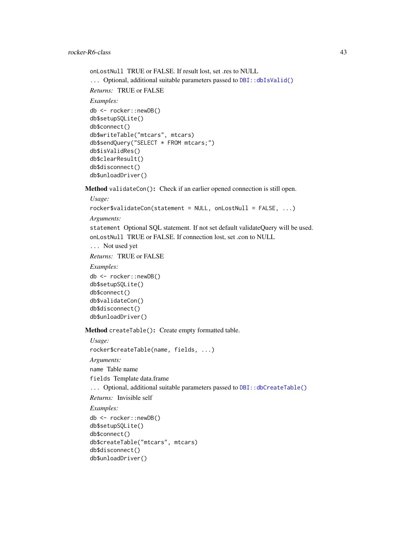```
onLostNull TRUE or FALSE. If result lost, set .res to NULL
DBI::dbIsValid()
Returns: TRUE or FALSE
Examples:
db <- rocker::newDB()
db$setupSQLite()
db$connect()
db$writeTable("mtcars", mtcars)
db$sendQuery("SELECT * FROM mtcars;")
db$isValidRes()
db$clearResult()
db$disconnect()
db$unloadDriver()
```
Method validateCon(): Check if an earlier opened connection is still open.

```
Usage:
```
rocker\$validateCon(statement = NULL, onLostNull = FALSE, ...)

```
Arguments:
```
statement Optional SQL statement. If not set default validateQuery will be used. onLostNull TRUE or FALSE. If connection lost, set .con to NULL

```
... Not used yet
```
*Returns:* TRUE or FALSE

*Examples:*

```
db <- rocker::newDB()
db$setupSQLite()
db$connect()
db$validateCon()
db$disconnect()
db$unloadDriver()
```
db\$unloadDriver()

Method createTable(): Create empty formatted table.

```
Usage:
rocker$createTable(name, fields, ...)
Arguments:
name Table name
fields Template data.frame
DBI::dbCreateTable()
Returns: Invisible self
Examples:
db <- rocker::newDB()
db$setupSQLite()
db$connect()
db$createTable("mtcars", mtcars)
db$disconnect()
```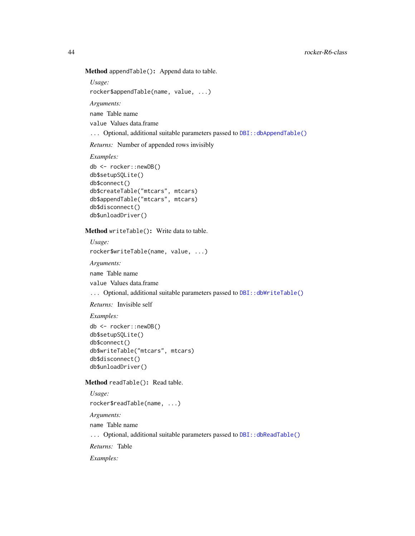Method appendTable(): Append data to table.

*Usage:*

rocker\$appendTable(name, value, ...)

*Arguments:*

name Table name

value Values data.frame

... Optional, additional suitable parameters passed to [DBI::dbAppendTable\(\)](#page-0-0)

*Returns:* Number of appended rows invisibly

*Examples:*

```
db <- rocker::newDB()
db$setupSQLite()
db$connect()
db$createTable("mtcars", mtcars)
db$appendTable("mtcars", mtcars)
db$disconnect()
db$unloadDriver()
```
Method writeTable(): Write data to table.

*Usage:*

rocker\$writeTable(name, value, ...)

*Arguments:*

name Table name

value Values data.frame

... Optional, additional suitable parameters passed to [DBI::dbWriteTable\(\)](#page-0-0)

*Returns:* Invisible self

*Examples:*

```
db <- rocker::newDB()
db$setupSQLite()
db$connect()
db$writeTable("mtcars", mtcars)
db$disconnect()
db$unloadDriver()
```
Method readTable(): Read table.

```
Usage:
rocker$readTable(name, ...)
Arguments:
name Table name
DBI::dbReadTable()
Returns: Table
Examples:
```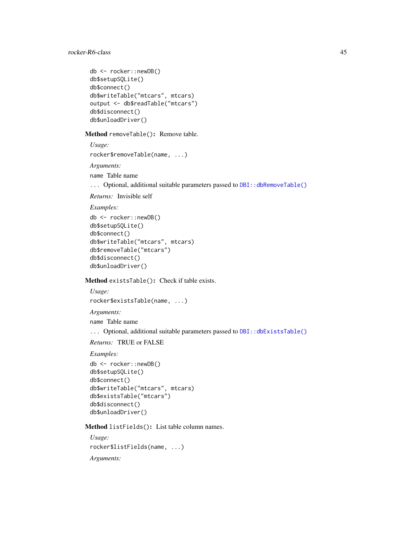```
db <- rocker::newDB()
db$setupSQLite()
db$connect()
db$writeTable("mtcars", mtcars)
output <- db$readTable("mtcars")
db$disconnect()
db$unloadDriver()
```
Method removeTable(): Remove table.

*Usage:* rocker\$removeTable(name, ...) *Arguments:*

name Table name

... Optional, additional suitable parameters passed to DBI:: dbRemoveTable()

```
Returns: Invisible self
```
*Examples:*

```
db <- rocker::newDB()
db$setupSQLite()
db$connect()
db$writeTable("mtcars", mtcars)
db$removeTable("mtcars")
db$disconnect()
db$unloadDriver()
```
Method existsTable(): Check if table exists.

*Usage:* rocker\$existsTable(name, ...) *Arguments:* name Table name ... Optional, additional suitable parameters passed to [DBI::dbExistsTable\(\)](#page-0-0) *Returns:* TRUE or FALSE

### *Examples:*

```
db <- rocker::newDB()
db$setupSQLite()
db$connect()
db$writeTable("mtcars", mtcars)
db$existsTable("mtcars")
db$disconnect()
db$unloadDriver()
```
Method listFields(): List table column names.

*Usage:* rocker\$listFields(name, ...) *Arguments:*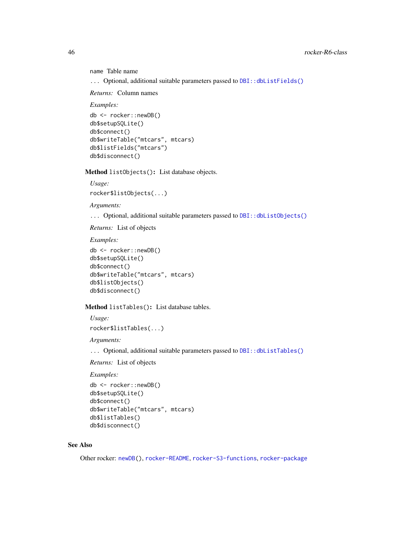```
name Table name
```
... Optional, additional suitable parameters passed to [DBI::dbListFields\(\)](#page-0-0)

*Returns:* Column names

*Examples:*

```
db <- rocker::newDB()
db$setupSQLite()
db$connect()
db$writeTable("mtcars", mtcars)
db$listFields("mtcars")
db$disconnect()
```
Method listObjects(): List database objects.

```
Usage:
rocker$listObjects(...)
```
*Arguments:*

... Optional, additional suitable parameters passed to [DBI::dbListObjects\(\)](#page-0-0)

*Returns:* List of objects

*Examples:*

```
db <- rocker::newDB()
db$setupSQLite()
db$connect()
db$writeTable("mtcars", mtcars)
db$listObjects()
db$disconnect()
```
Method listTables(): List database tables.

*Usage:*

rocker\$listTables(...)

*Arguments:*

... Optional, additional suitable parameters passed to [DBI::dbListTables\(\)](#page-0-0)

*Returns:* List of objects

*Examples:*

```
db <- rocker::newDB()
db$setupSQLite()
db$connect()
db$writeTable("mtcars", mtcars)
db$listTables()
db$disconnect()
```
# See Also

Other rocker: [newDB\(](#page-27-0)), [rocker-README](#page-55-0), [rocker-S3-functions](#page-77-0), [rocker-package](#page-0-0)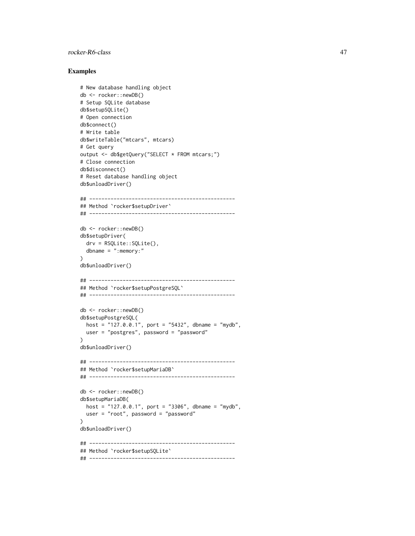### Examples

```
# New database handling object
db <- rocker::newDB()
# Setup SQLite database
db$setupSQLite()
# Open connection
db$connect()
# Write table
db$writeTable("mtcars", mtcars)
# Get query
output <- db$getQuery("SELECT * FROM mtcars;")
# Close connection
db$disconnect()
# Reset database handling object
db$unloadDriver()
## ------------------------------------------------
## Method `rocker$setupDriver`
## ------------------------------------------------
db <- rocker::newDB()
db$setupDriver(
  drv = RSQLite::SQLite(),
  dbname = ":memory:"
)
db$unloadDriver()
## ------------------------------------------------
## Method `rocker$setupPostgreSQL`
## ------------------------------------------------
db <- rocker::newDB()
db$setupPostgreSQL(
  host = "127.0.0.1", port = "5432", dbname = "mydb",
 user = "postgres", password = "password"
)
db$unloadDriver()
## ------------------------------------------------
## Method `rocker$setupMariaDB`
## ------------------------------------------------
db <- rocker::newDB()
db$setupMariaDB(
  host = "127.0.0.1", port = "3306", dbname = "mydb",user = "root", password = "password"
)
db$unloadDriver()
## ------------------------------------------------
## Method `rocker$setupSQLite`
## ------------------------------------------------
```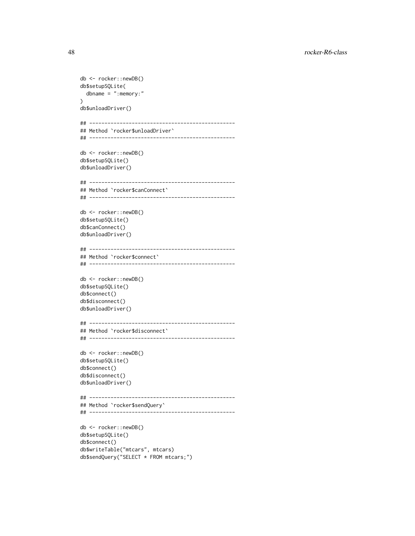```
db <- rocker::newDB()
db$setupSQLite(
 dbname = ":memory:"
)
db$unloadDriver()
## ------------------------------------------------
## Method `rocker$unloadDriver`
## ------------------------------------------------
db <- rocker::newDB()
db$setupSQLite()
db$unloadDriver()
## ------------------------------------------------
## Method `rocker$canConnect`
## ------------------------------------------------
db <- rocker::newDB()
db$setupSQLite()
db$canConnect()
db$unloadDriver()
## ------------------------------------------------
## Method `rocker$connect`
## ------------------------------------------------
db <- rocker::newDB()
db$setupSQLite()
db$connect()
db$disconnect()
db$unloadDriver()
## ------------------------------------------------
## Method `rocker$disconnect`
## ------------------------------------------------
db <- rocker::newDB()
db$setupSQLite()
db$connect()
db$disconnect()
db$unloadDriver()
## ------------------------------------------------
## Method `rocker$sendQuery`
## ------------------------------------------------
db <- rocker::newDB()
db$setupSQLite()
db$connect()
```
db\$writeTable("mtcars", mtcars) db\$sendQuery("SELECT \* FROM mtcars;")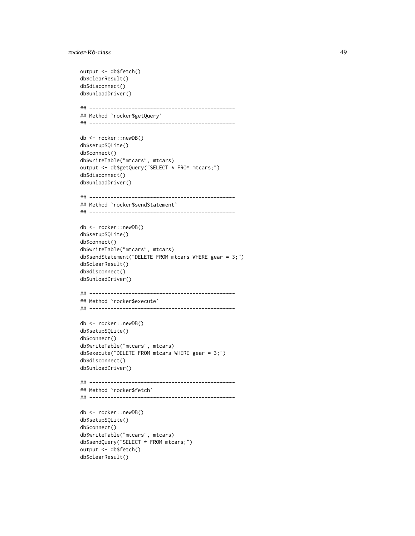```
output <- db$fetch()
db$clearResult()
db$disconnect()
db$unloadDriver()
## ------------------------------------------------
## Method `rocker$getQuery`
## ------------------------------------------------
db <- rocker::newDB()
db$setupSQLite()
db$connect()
db$writeTable("mtcars", mtcars)
output <- db$getQuery("SELECT * FROM mtcars;")
db$disconnect()
db$unloadDriver()
## ------------------------------------------------
## Method `rocker$sendStatement`
## ------------------------------------------------
db <- rocker::newDB()
db$setupSQLite()
db$connect()
db$writeTable("mtcars", mtcars)
db$sendStatement("DELETE FROM mtcars WHERE gear = 3;")
db$clearResult()
db$disconnect()
db$unloadDriver()
## ------------------------------------------------
## Method `rocker$execute`
## ------------------------------------------------
db <- rocker::newDB()
db$setupSQLite()
db$connect()
db$writeTable("mtcars", mtcars)
db$execute("DELETE FROM mtcars WHERE gear = 3;")
db$disconnect()
db$unloadDriver()
## ------------------------------------------------
## Method `rocker$fetch`
## ------------------------------------------------
db <- rocker::newDB()
db$setupSQLite()
db$connect()
db$writeTable("mtcars", mtcars)
db$sendQuery("SELECT * FROM mtcars;")
output <- db$fetch()
db$clearResult()
```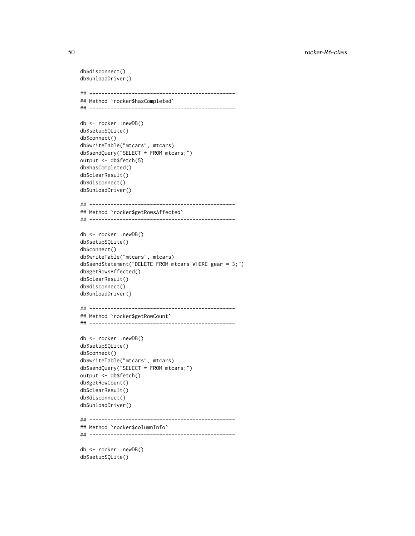```
db$disconnect()
db$unloadDriver()
## ------------------------------------------------
## Method `rocker$hasCompleted`
## ------------------------------------------------
db <- rocker::newDB()
db$setupSQLite()
db$connect()
db$writeTable("mtcars", mtcars)
db$sendQuery("SELECT * FROM mtcars;")
output <- db$fetch(5)
db$hasCompleted()
db$clearResult()
db$disconnect()
db$unloadDriver()
## ------------------------------------------------
## Method `rocker$getRowsAffected`
## ------------------------------------------------
db <- rocker::newDB()
db$setupSQLite()
db$connect()
db$writeTable("mtcars", mtcars)
db$sendStatement("DELETE FROM mtcars WHERE gear = 3;")
db$getRowsAffected()
db$clearResult()
db$disconnect()
db$unloadDriver()
## ------------------------------------------------
## Method `rocker$getRowCount`
## ------------------------------------------------
db <- rocker::newDB()
db$setupSQLite()
db$connect()
db$writeTable("mtcars", mtcars)
db$sendQuery("SELECT * FROM mtcars;")
output <- db$fetch()
db$getRowCount()
db$clearResult()
db$disconnect()
db$unloadDriver()
## ------------------------------------------------
## Method `rocker$columnInfo`
## ------------------------------------------------
db <- rocker::newDB()
db$setupSQLite()
```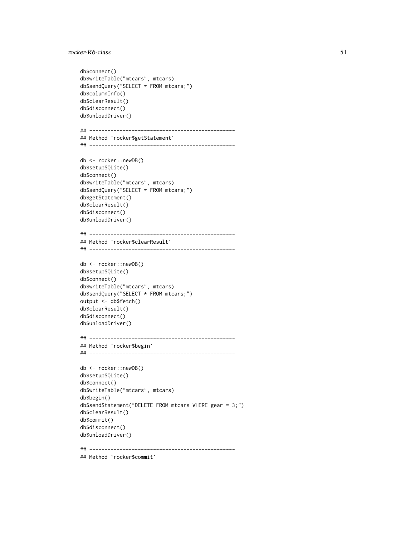```
db$connect()
db$writeTable("mtcars", mtcars)
db$sendQuery("SELECT * FROM mtcars;")
db$columnInfo()
db$clearResult()
db$disconnect()
db$unloadDriver()
## ------------------------------------------------
## Method `rocker$getStatement`
## ------------------------------------------------
db <- rocker::newDB()
db$setupSQLite()
db$connect()
db$writeTable("mtcars", mtcars)
db$sendQuery("SELECT * FROM mtcars;")
db$getStatement()
db$clearResult()
db$disconnect()
db$unloadDriver()
## ------------------------------------------------
## Method `rocker$clearResult`
## ------------------------------------------------
db <- rocker::newDB()
db$setupSQLite()
db$connect()
db$writeTable("mtcars", mtcars)
db$sendQuery("SELECT * FROM mtcars;")
output <- db$fetch()
db$clearResult()
db$disconnect()
db$unloadDriver()
## ------------------------------------------------
## Method `rocker$begin`
## ------------------------------------------------
db <- rocker::newDB()
db$setupSQLite()
db$connect()
db$writeTable("mtcars", mtcars)
db$begin()
db$sendStatement("DELETE FROM mtcars WHERE gear = 3;")
db$clearResult()
db$commit()
db$disconnect()
db$unloadDriver()
## ------------------------------------------------
```
## Method `rocker\$commit`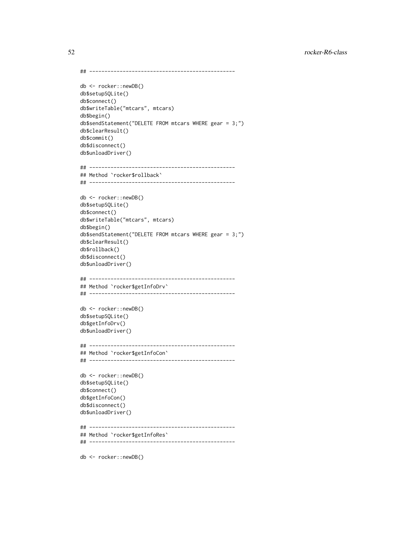```
## ------------------------------------------------
```

```
db <- rocker::newDB()
db$setupSQLite()
db$connect()
db$writeTable("mtcars", mtcars)
db$begin()
db$sendStatement("DELETE FROM mtcars WHERE gear = 3;")
db$clearResult()
db$commit()
db$disconnect()
db$unloadDriver()
```

```
## ------------------------------------------------
## Method `rocker$rollback`
## ------------------------------------------------
```

```
db <- rocker::newDB()
db$setupSQLite()
db$connect()
db$writeTable("mtcars", mtcars)
db$begin()
db$sendStatement("DELETE FROM mtcars WHERE gear = 3;")
db$clearResult()
db$rollback()
db$disconnect()
db$unloadDriver()
```

```
## ------------------------------------------------
## Method `rocker$getInfoDrv`
## ------------------------------------------------
```

```
db <- rocker::newDB()
db$setupSQLite()
db$getInfoDrv()
db$unloadDriver()
```

```
## ------------------------------------------------
## Method `rocker$getInfoCon`
## ------------------------------------------------
```

```
db <- rocker::newDB()
db$setupSQLite()
db$connect()
db$getInfoCon()
db$disconnect()
db$unloadDriver()
```

```
## ------------------------------------------------
## Method `rocker$getInfoRes`
```

```
## ------------------------------------------------
```
db <- rocker::newDB()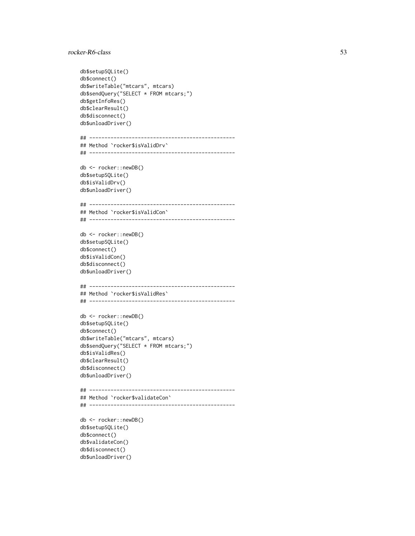```
db$setupSQLite()
db$connect()
db$writeTable("mtcars", mtcars)
db$sendQuery("SELECT * FROM mtcars;")
db$getInfoRes()
db$clearResult()
db$disconnect()
db$unloadDriver()
## ------------------------------------------------
## Method `rocker$isValidDrv`
## ------------------------------------------------
db <- rocker::newDB()
db$setupSQLite()
db$isValidDrv()
db$unloadDriver()
## ------------------------------------------------
## Method `rocker$isValidCon`
## ------------------------------------------------
db <- rocker::newDB()
db$setupSQLite()
db$connect()
db$isValidCon()
db$disconnect()
db$unloadDriver()
## ------------------------------------------------
## Method `rocker$isValidRes`
## ------------------------------------------------
db <- rocker::newDB()
db$setupSQLite()
db$connect()
db$writeTable("mtcars", mtcars)
db$sendQuery("SELECT * FROM mtcars;")
db$isValidRes()
db$clearResult()
db$disconnect()
db$unloadDriver()
## ------------------------------------------------
## Method `rocker$validateCon`
## ------------------------------------------------
db <- rocker::newDB()
db$setupSQLite()
db$connect()
db$validateCon()
db$disconnect()
db$unloadDriver()
```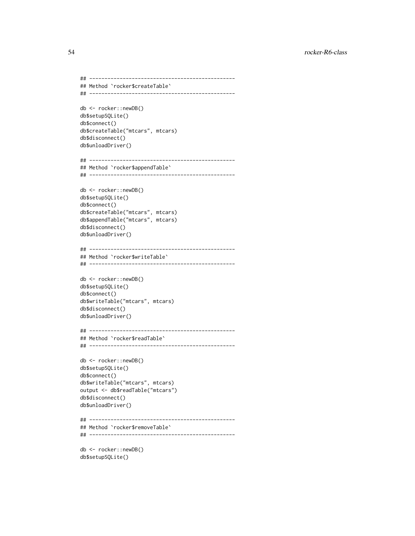```
## ------------------------------------------------
## Method `rocker$createTable`
## ------------------------------------------------
db <- rocker::newDB()
db$setupSQLite()
db$connect()
db$createTable("mtcars", mtcars)
db$disconnect()
db$unloadDriver()
## ------------------------------------------------
## Method `rocker$appendTable`
## ------------------------------------------------
db <- rocker::newDB()
db$setupSQLite()
db$connect()
db$createTable("mtcars", mtcars)
db$appendTable("mtcars", mtcars)
db$disconnect()
db$unloadDriver()
## ------------------------------------------------
## Method `rocker$writeTable`
## ------------------------------------------------
db <- rocker::newDB()
db$setupSQLite()
db$connect()
db$writeTable("mtcars", mtcars)
db$disconnect()
db$unloadDriver()
## ------------------------------------------------
## Method `rocker$readTable`
## ------------------------------------------------
db <- rocker::newDB()
db$setupSQLite()
db$connect()
db$writeTable("mtcars", mtcars)
output <- db$readTable("mtcars")
db$disconnect()
db$unloadDriver()
## ------------------------------------------------
## Method `rocker$removeTable`
## ------------------------------------------------
db <- rocker::newDB()
```
db\$setupSQLite()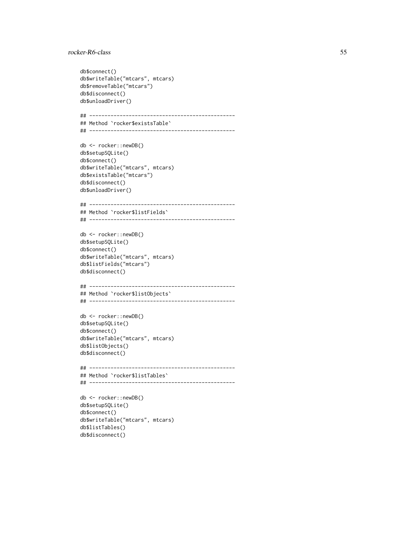```
db$connect()
db$writeTable("mtcars", mtcars)
db$removeTable("mtcars")
db$disconnect()
db$unloadDriver()
## ------------------------------------------------
## Method `rocker$existsTable`
## ------------------------------------------------
db <- rocker::newDB()
db$setupSQLite()
db$connect()
db$writeTable("mtcars", mtcars)
db$existsTable("mtcars")
db$disconnect()
db$unloadDriver()
## ------------------------------------------------
## Method `rocker$listFields`
## ------------------------------------------------
db <- rocker::newDB()
db$setupSQLite()
db$connect()
db$writeTable("mtcars", mtcars)
db$listFields("mtcars")
db$disconnect()
## ------------------------------------------------
## Method `rocker$listObjects`
## ------------------------------------------------
db <- rocker::newDB()
db$setupSQLite()
db$connect()
db$writeTable("mtcars", mtcars)
db$listObjects()
db$disconnect()
## ------------------------------------------------
## Method `rocker$listTables`
## ------------------------------------------------
db <- rocker::newDB()
db$setupSQLite()
db$connect()
db$writeTable("mtcars", mtcars)
db$listTables()
```
db\$disconnect()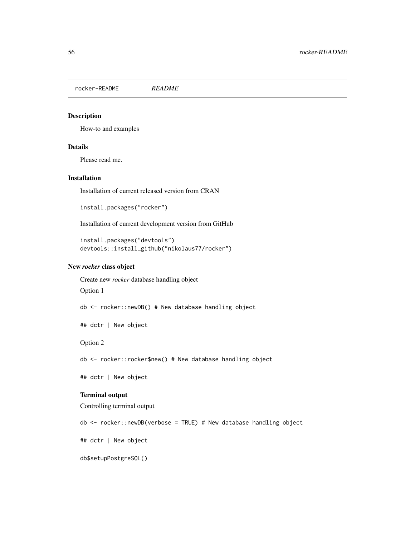<span id="page-55-0"></span>rocker-README *README*

## Description

How-to and examples

## Details

Please read me.

### Installation

Installation of current released version from CRAN

install.packages("rocker")

Installation of current development version from GitHub

```
install.packages("devtools")
devtools::install_github("nikolaus77/rocker")
```
### New *rocker* class object

Create new *rocker* database handling object

Option 1

db <- rocker::newDB() # New database handling object

## dctr | New object

## Option 2

db <- rocker::rocker\$new() # New database handling object

## dctr | New object

# Terminal output

Controlling terminal output

db <- rocker::newDB(verbose = TRUE) # New database handling object

## dctr | New object

db\$setupPostgreSQL()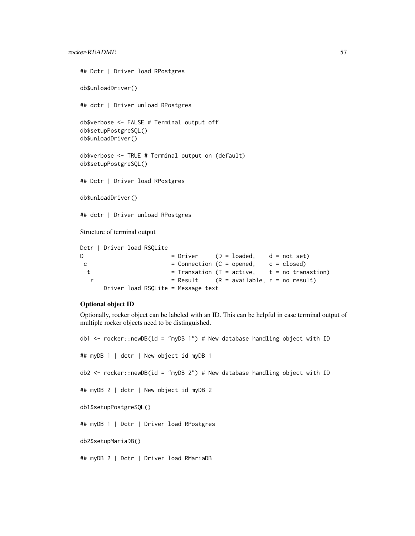```
## Dctr | Driver load RPostgres
db$unloadDriver()
## dctr | Driver unload RPostgres
db$verbose <- FALSE # Terminal output off
db$setupPostgreSQL()
db$unloadDriver()
db$verbose <- TRUE # Terminal output on (default)
db$setupPostgreSQL()
## Dctr | Driver load RPostgres
db$unloadDriver()
## dctr | Driver unload RPostgres
Structure of terminal output
Dctr | Driver load RSQLite
D = Dirier (D = loaded, d = not set)
c = Connection (C = opened, c = closed)
 t = Transation (T = active, t = no tranastion)
  r = Result (R = available, r = no result)
     Driver load RSQLite = Message text
```
## Optional object ID

Optionally, rocker object can be labeled with an ID. This can be helpful in case terminal output of multiple rocker objects need to be distinguished.

```
db1 <- rocker::newDB(id = "myDB 1") # New database handling object with ID
## myDB 1 | dctr | New object id myDB 1
db2 <- rocker::newDB(id = "myDB 2") # New database handling object with ID
## myDB 2 | dctr | New object id myDB 2
db1$setupPostgreSQL()
## myDB 1 | Dctr | Driver load RPostgres
db2$setupMariaDB()
```
## myDB 2 | Dctr | Driver load RMariaDB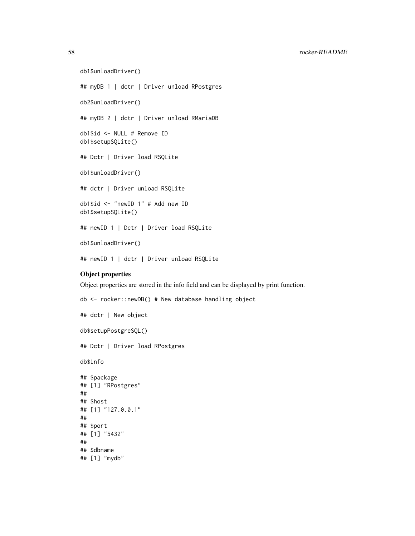58 rocker-README

```
db1$unloadDriver()
## myDB 1 | dctr | Driver unload RPostgres
db2$unloadDriver()
## myDB 2 | dctr | Driver unload RMariaDB
db1$id <- NULL # Remove ID
db1$setupSQLite()
## Dctr | Driver load RSQLite
db1$unloadDriver()
## dctr | Driver unload RSQLite
db1$id <- "newID 1" # Add new ID
db1$setupSQLite()
## newID 1 | Dctr | Driver load RSQLite
db1$unloadDriver()
```
## newID 1 | dctr | Driver unload RSQLite

# Object properties

Object properties are stored in the info field and can be displayed by print function.

```
db <- rocker::newDB() # New database handling object
## dctr | New object
db$setupPostgreSQL()
## Dctr | Driver load RPostgres
db$info
## $package
## [1] "RPostgres"
##
## $host
## [1] "127.0.0.1"
##
## $port
## [1] "5432"
##
## $dbname
## [1] "mydb"
```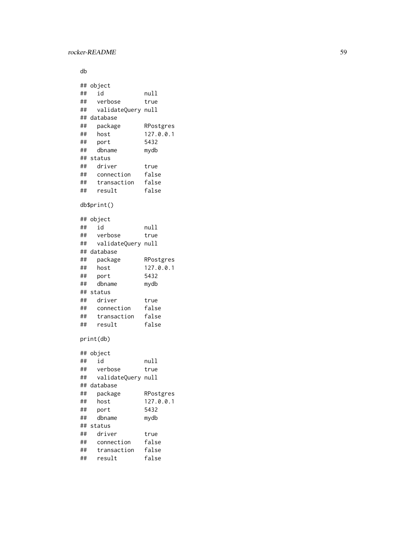db

```
## object
## id null
## verbose true
## validateQuery null
## database
## package RPostgres
## host 127.0.0.1
## port 5432
## dbname mydb
## status
## driver true
## connection false
## transaction false
## result false
db$print()
## object
## id null
## verbose true
## validateQuery null
## database
## package RPostgres
## host 127.0.0.1
## port 5432
## dbname mydb
## status
## driver true
## connection false
## transaction false
## result false
print(db)
## object
## id null
## verbose true
## validateQuery null
## database
## package RPostgres
## host 127.0.0.1
## port 5432
## dbname mydb
## status
## driver true
## connection false
## transaction false
## result false
```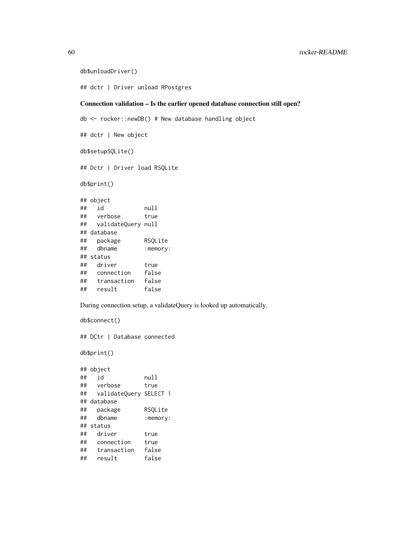```
db$unloadDriver()
```
## dctr | Driver unload RPostgres

# Connection validation – Is the earlier opened database connection still open?

```
db <- rocker::newDB() # New database handling object
## dctr | New object
db$setupSQLite()
## Dctr | Driver load RSQLite
db$print()
## object
## id null
## verbose true
## validateQuery null
## database
## package RSQLite
## dbname :memory:
## status
## driver true
## connection false
## transaction false
## result false
```
During connection setup, a validateQuery is looked up automatically.

```
db$connect()
## DCtr | Database connected
db$print()
## object
## id null
## verbose true
## validateQuery SELECT 1
## database
## package RSQLite
## dbname :memory:
## status
## driver true
## connection true
## transaction false
## result false
```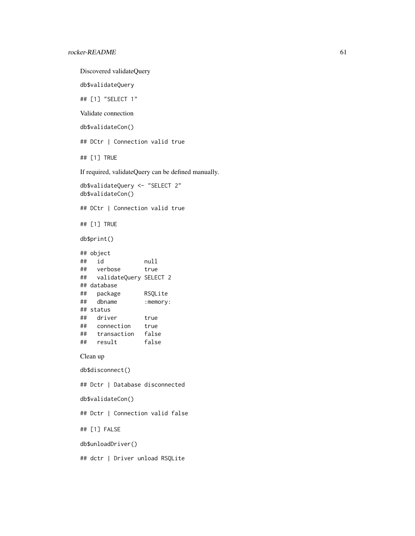```
Discovered validateQuery
db$validateQuery
## [1] "SELECT 1"
Validate connection
db$validateCon()
## DCtr | Connection valid true
## [1] TRUE
If required, validateQuery can be defined manually.
db$validateQuery <- "SELECT 2"
db$validateCon()
## DCtr | Connection valid true
## [1] TRUE
db$print()
## object
## id null
## verbose true
## validateQuery SELECT 2
## database
## package RSQLite
## dbname :memory:
## status
## driver true
## connection true
## transaction false
## result false
Clean up
db$disconnect()
## Dctr | Database disconnected
db$validateCon()
## Dctr | Connection valid false
## [1] FALSE
db$unloadDriver()
## dctr | Driver unload RSQLite
```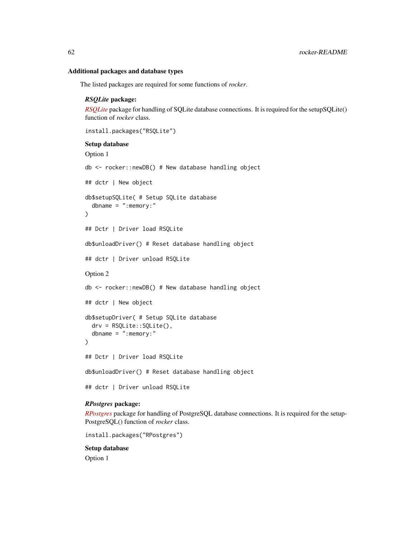### Additional packages and database types

The listed packages are required for some functions of *rocker*.

### *RSQLite* package:

*[RSQLite](https://github.com/r-dbi/RSQLite)* package for handling of SQLite database connections. It is required for the setupSQLite() function of *rocker* class.

```
install.packages("RSQLite")
```
#### Setup database

```
Option 1
db <- rocker::newDB() # New database handling object
## dctr | New object
db$setupSQLite( # Setup SQLite database
  dbname = ": memory: "
\lambda## Dctr | Driver load RSQLite
db$unloadDriver() # Reset database handling object
## dctr | Driver unload RSQLite
Option 2
db <- rocker::newDB() # New database handling object
## dctr | New object
db$setupDriver( # Setup SQLite database
  drv = RSQLite::SQLite(),
  dbname = ": memory: "
)
## Dctr | Driver load RSQLite
db$unloadDriver() # Reset database handling object
## dctr | Driver unload RSQLite
```
# *RPostgres* package:

*[RPostgres](https://github.com/r-dbi/RPostgres)* package for handling of PostgreSQL database connections. It is required for the setup-PostgreSQL() function of *rocker* class.

install.packages("RPostgres")

#### Setup database

Option 1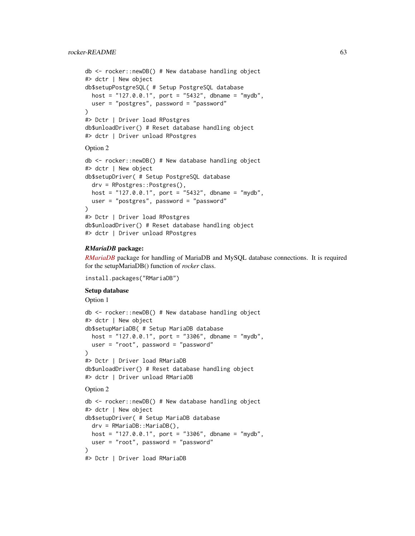# rocker-README 63

```
db <- rocker::newDB() # New database handling object
#> dctr | New object
db$setupPostgreSQL( # Setup PostgreSQL database
  host = "127.0.0.1", port = "5432", dbname = "mydb",
  user = "postgres", password = "password"
)
#> Dctr | Driver load RPostgres
db$unloadDriver() # Reset database handling object
#> dctr | Driver unload RPostgres
Option 2
db <- rocker::newDB() # New database handling object
#> dctr | New object
db$setupDriver( # Setup PostgreSQL database
  drv = RPostgres::Postgres(),
  host = "127.0.0.1", port = "5432", dbname = "mydb",
  user = "postgres", password = "password"
\lambda#> Dctr | Driver load RPostgres
db$unloadDriver() # Reset database handling object
```
## #> dctr | Driver unload RPostgres

## *RMariaDB* package:

*[RMariaDB](https://github.com/r-dbi/RMariaDB)* package for handling of MariaDB and MySQL database connections. It is required for the setupMariaDB() function of *rocker* class.

```
install.packages("RMariaDB")
```
# Setup database

Option 1

```
db <- rocker::newDB() # New database handling object
#> dctr | New object
db$setupMariaDB( # Setup MariaDB database
  host = "127.0.0.1", port = "3306", dbname = "mydb",
  user = "root", password = "password"
\lambda#> Dctr | Driver load RMariaDB
db$unloadDriver() # Reset database handling object
#> dctr | Driver unload RMariaDB
Option 2
```

```
db <- rocker::newDB() # New database handling object
#> dctr | New object
db$setupDriver( # Setup MariaDB database
  drv = RMariaDB::MariaDB(),
  host = "127.0.0.1", port = "3306", dbname = "mydb",
  user = "root", password = "password"
\lambda#> Dctr | Driver load RMariaDB
```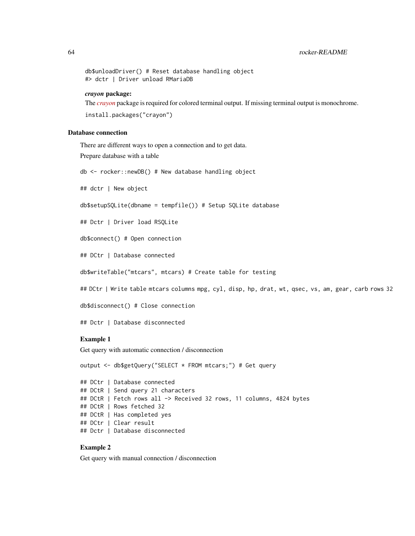```
db$unloadDriver() # Reset database handling object
#> dctr | Driver unload RMariaDB
```
### *crayon* package:

The *[crayon](https://github.com/r-lib/crayon)* package is required for colored terminal output. If missing terminal output is monochrome.

```
install.packages("crayon")
```
## Database connection

There are different ways to open a connection and to get data.

Prepare database with a table

db <- rocker::newDB() # New database handling object

## dctr | New object

db\$setupSQLite(dbname = tempfile()) # Setup SQLite database

## Dctr | Driver load RSQLite

db\$connect() # Open connection

## DCtr | Database connected

db\$writeTable("mtcars", mtcars) # Create table for testing

## DCtr | Write table mtcars columns mpg, cyl, disp, hp, drat, wt, qsec, vs, am, gear, carb rows 32

db\$disconnect() # Close connection

## Dctr | Database disconnected

## Example 1

Get query with automatic connection / disconnection

output <- db\$getQuery("SELECT \* FROM mtcars;") # Get query

```
## DCtr | Database connected
## DCtR | Send query 21 characters
## DCtR | Fetch rows all -> Received 32 rows, 11 columns, 4824 bytes
## DCtR | Rows fetched 32
## DCtR | Has completed yes
## DCtr | Clear result
## Dctr | Database disconnected
```
# Example 2

Get query with manual connection / disconnection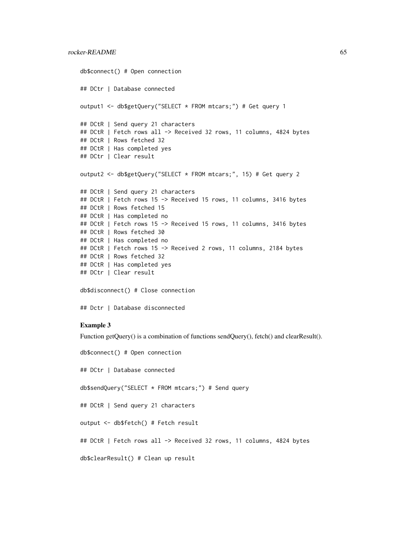```
db$connect() # Open connection
## DCtr | Database connected
output1 <- db$getQuery("SELECT * FROM mtcars;") # Get query 1
## DCtR | Send query 21 characters
## DCtR | Fetch rows all -> Received 32 rows, 11 columns, 4824 bytes
## DCtR | Rows fetched 32
## DCtR | Has completed yes
## DCtr | Clear result
output2 <- db$getQuery("SELECT * FROM mtcars;", 15) # Get query 2
## DCtR | Send query 21 characters
## DCtR | Fetch rows 15 -> Received 15 rows, 11 columns, 3416 bytes
## DCtR | Rows fetched 15
## DCtR | Has completed no
## DCtR | Fetch rows 15 -> Received 15 rows, 11 columns, 3416 bytes
## DCtR | Rows fetched 30
## DCtR | Has completed no
## DCtR | Fetch rows 15 -> Received 2 rows, 11 columns, 2184 bytes
## DCtR | Rows fetched 32
## DCtR | Has completed yes
## DCtr | Clear result
db$disconnect() # Close connection
```
## Dctr | Database disconnected

### Example 3

Function getQuery() is a combination of functions sendQuery(), fetch() and clearResult().

```
db$connect() # Open connection
## DCtr | Database connected
db$sendQuery("SELECT * FROM mtcars;") # Send query
## DCtR | Send query 21 characters
output <- db$fetch() # Fetch result
## DCtR | Fetch rows all -> Received 32 rows, 11 columns, 4824 bytes
db$clearResult() # Clean up result
```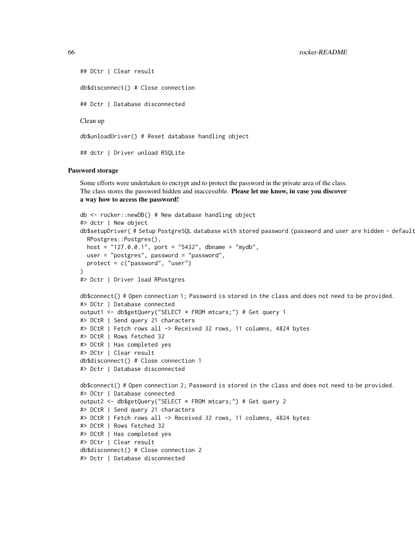```
## DCtr | Clear result
db$disconnect() # Close connection
## Dctr | Database disconnected
Clean up
db$unloadDriver() # Reset database handling object
## dctr | Driver unload RSQLite
```
### Password storage

Some efforts were undertaken to encrypt and to protect the password in the private area of the class. The class stores the password hidden and inaccessible. Please let me know, in case you discover a way how to access the password!

```
db <- rocker::newDB() # New database handling object
#> dctr | New object
db$setupDriver( # Setup PostgreSQL database with stored password (password and user are hidden - default
  RPostgres::Postgres(),
 host = "127.0.0.1", port = "5432", dbname = "mydb",
 user = "postgres", password = "password",
 protect = c("password", "user")
)
#> Dctr | Driver load RPostgres
db$connect() # Open connection 1; Password is stored in the class and does not need to be provided.
#> DCtr | Database connected
output1 <- db$getQuery("SELECT * FROM mtcars;") # Get query 1
#> DCtR | Send query 21 characters
#> DCtR | Fetch rows all -> Received 32 rows, 11 columns, 4824 bytes
#> DCtR | Rows fetched 32
#> DCtR | Has completed yes
#> DCtr | Clear result
db$disconnect() # Close connection 1
#> Dctr | Database disconnected
db$connect() # Open connection 2; Password is stored in the class and does not need to be provided.
#> DCtr | Database connected
output2 <- db$getQuery("SELECT * FROM mtcars;") # Get query 2
#> DCtR | Send query 21 characters
#> DCtR | Fetch rows all -> Received 32 rows, 11 columns, 4824 bytes
#> DCtR | Rows fetched 32
#> DCtR | Has completed yes
#> DCtr | Clear result
db$disconnect() # Close connection 2
#> Dctr | Database disconnected
```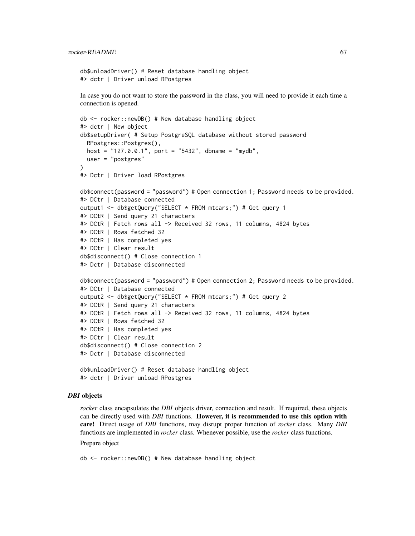```
db$unloadDriver() # Reset database handling object
#> dctr | Driver unload RPostgres
```
In case you do not want to store the password in the class, you will need to provide it each time a connection is opened.

```
db <- rocker::newDB() # New database handling object
#> dctr | New object
db$setupDriver( # Setup PostgreSQL database without stored password
  RPostgres::Postgres(),
 host = "127.0.0.1", port = "5432", dbname = "mydb",user = "postgres"
)
#> Dctr | Driver load RPostgres
db$connect(password = "password") # Open connection 1; Password needs to be provided.
#> DCtr | Database connected
output1 <- db$getQuery("SELECT * FROM mtcars;") # Get query 1
#> DCtR | Send query 21 characters
#> DCtR | Fetch rows all -> Received 32 rows, 11 columns, 4824 bytes
#> DCtR | Rows fetched 32
#> DCtR | Has completed yes
#> DCtr | Clear result
db$disconnect() # Close connection 1
#> Dctr | Database disconnected
db$connect(password = "password") # Open connection 2; Password needs to be provided.
#> DCtr | Database connected
output2 <- db$getQuery("SELECT * FROM mtcars;") # Get query 2
#> DCtR | Send query 21 characters
#> DCtR | Fetch rows all -> Received 32 rows, 11 columns, 4824 bytes
#> DCtR | Rows fetched 32
#> DCtR | Has completed yes
#> DCtr | Clear result
db$disconnect() # Close connection 2
#> Dctr | Database disconnected
db$unloadDriver() # Reset database handling object
```
### *DBI* objects

*rocker* class encapsulates the *DBI* objects driver, connection and result. If required, these objects can be directly used with *DBI* functions. However, it is recommended to use this option with care! Direct usage of *DBI* functions, may disrupt proper function of *rocker* class. Many *DBI* functions are implemented in *rocker* class. Whenever possible, use the *rocker* class functions.

# Prepare object

db <- rocker::newDB() # New database handling object

#> dctr | Driver unload RPostgres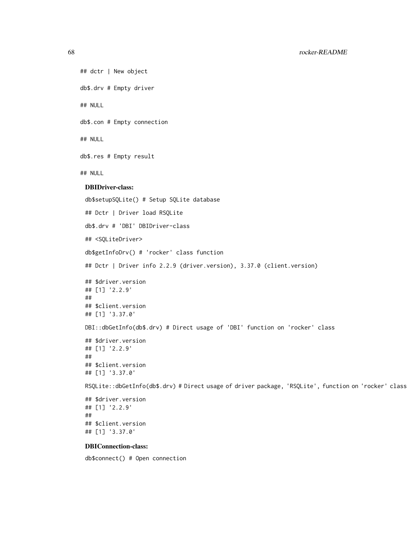```
## dctr | New object
db$.drv # Empty driver
## NULL
db$.con # Empty connection
## NULL
db$.res # Empty result
## NULL
 DBIDriver-class:
 db$setupSQLite() # Setup SQLite database
 ## Dctr | Driver load RSQLite
 db$.drv # 'DBI' DBIDriver-class
 ## <SQLiteDriver>
 db$getInfoDrv() # 'rocker' class function
 ## Dctr | Driver info 2.2.9 (driver.version), 3.37.0 (client.version)
 ## $driver.version
 ## [1] '2.2.9'
 ##
 ## $client.version
 ## [1] '3.37.0'
 DBI::dbGetInfo(db$.drv) # Direct usage of 'DBI' function on 'rocker' class
 ## $driver.version
 ## [1] '2.2.9'
 ##
 ## $client.version
 ## [1] '3.37.0'
 RSQLite::dbGetInfo(db$.drv) # Direct usage of driver package, 'RSQLite', function on 'rocker' class
 ## $driver.version
 ## [1] '2.2.9'
 ##
 ## $client.version
```
## [1] '3.37.0'

## DBIConnection-class:

db\$connect() # Open connection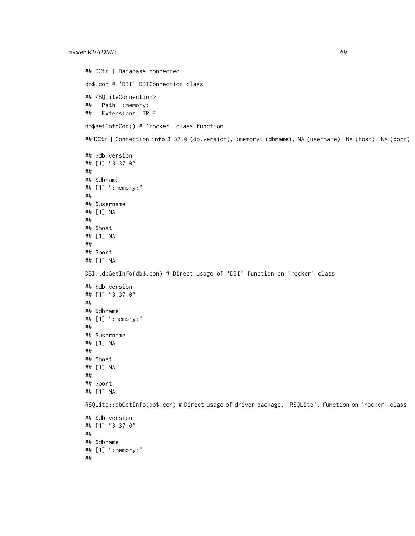## DCtr | Database connected db\$.con # 'DBI' DBIConnection-class ## <SQLiteConnection> ## Path: :memory: ## Extensions: TRUE db\$getInfoCon() # 'rocker' class function ## DCtr | Connection info 3.37.0 (db.version), :memory: (dbname), NA (username), NA (host), NA (port) ## \$db.version ## [1] "3.37.0" ## ## \$dbname ## [1] ":memory:" ## ## \$username ## [1] NA ## ## \$host ## [1] NA ## ## \$port ## [1] NA DBI::dbGetInfo(db\$.con) # Direct usage of 'DBI' function on 'rocker' class ## \$db.version ## [1] "3.37.0" ## ## \$dbname ## [1] ":memory:" ## ## \$username ## [1] NA ## ## \$host ## [1] NA ## ## \$port ## [1] NA RSQLite::dbGetInfo(db\$.con) # Direct usage of driver package, 'RSQLite', function on 'rocker' class ## \$db.version ## [1] "3.37.0" ## ## \$dbname ## [1] ":memory:" ##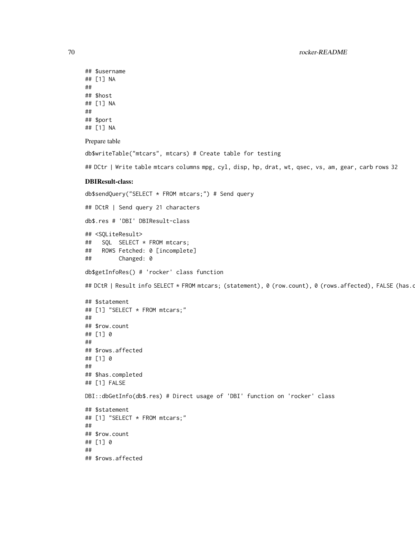```
## $username
## [1] NA
##
## $host
## [1] NA
##
## $port
## [1] NA
```
Prepare table

db\$writeTable("mtcars", mtcars) # Create table for testing

## DCtr | Write table mtcars columns mpg, cyl, disp, hp, drat, wt, qsec, vs, am, gear, carb rows 32

#### DBIResult-class:

```
db$sendQuery("SELECT * FROM mtcars;") # Send query
## DCtR | Send query 21 characters
db$.res # 'DBI' DBIResult-class
## <SQLiteResult>
## SQL SELECT * FROM mtcars;
## ROWS Fetched: 0 [incomplete]
## Changed: 0
db$getInfoRes() # 'rocker' class function
## DCtR | Result info SELECT * FROM mtcars; (statement), 0 (row.count), 0 (rows.affected), FALSE (has.c
## $statement
## [1] "SELECT * FROM mtcars;"
##
## $row.count
## [1] 0
##
## $rows.affected
## [1] 0
##
## $has.completed
## [1] FALSE
DBI::dbGetInfo(db$.res) # Direct usage of 'DBI' function on 'rocker' class
## $statement
## [1] "SELECT * FROM mtcars;"
##
## $row.count
## [1] 0
##
## $rows.affected
```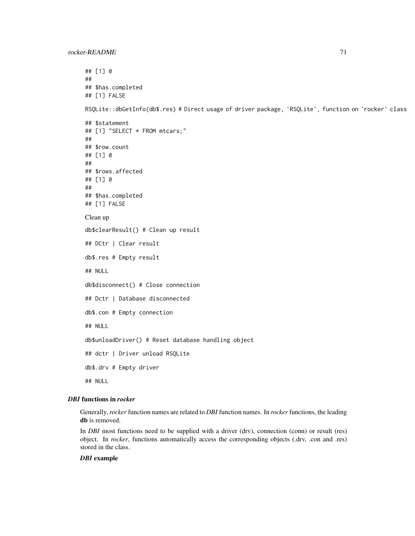## [1] 0 ## ## \$has.completed ## [1] FALSE RSQLite::dbGetInfo(db\$.res) # Direct usage of driver package, 'RSQLite', function on 'rocker' class ## \$statement ## [1] "SELECT \* FROM mtcars;" ## ## \$row.count ## [1] 0 ## ## \$rows.affected ## [1] 0 ## ## \$has.completed ## [1] FALSE Clean up db\$clearResult() # Clean up result ## DCtr | Clear result db\$.res # Empty result ## NULL db\$disconnect() # Close connection ## Dctr | Database disconnected db\$.con # Empty connection ## NULL db\$unloadDriver() # Reset database handling object ## dctr | Driver unload RSQLite db\$.drv # Empty driver ## NULL

### *DBI* functions in *rocker*

Generally, *rocker* function names are related to *DBI* function names. In *rocker* functions, the leading db is removed.

In *DBI* most functions need to be supplied with a driver (drv), connection (conn) or result (res) object. In *rocker*, functions automatically access the corresponding objects (.drv, .con and .res) stored in the class.

## *DBI* example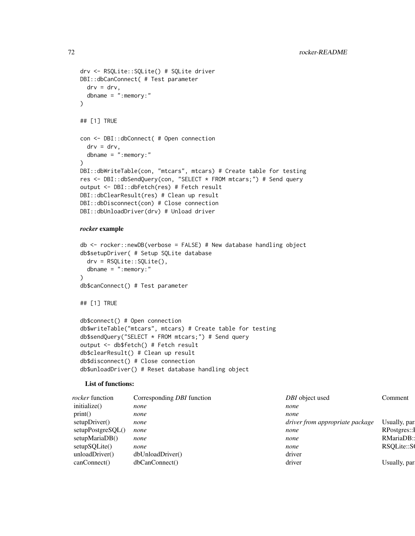```
drv <- RSQLite::SQLite() # SQLite driver
DBI::dbCanConnect( # Test parameter
 \text{drv} = \text{drv},
 dbname = ":memory:"
\lambda## [1] TRUE
con <- DBI::dbConnect( # Open connection
 \text{drv} = \text{drv}.
  dbname = ":memory:"
\lambdaDBI::dbWriteTable(con, "mtcars", mtcars) # Create table for testing
res <- DBI::dbSendQuery(con, "SELECT * FROM mtcars;") # Send query
output <- DBI::dbFetch(res) # Fetch result
DBI::dbClearResult(res) # Clean up result
DBI::dbDisconnect(con) # Close connection
DBI::dbUnloadDriver(drv) # Unload driver
```
### *rocker* example

```
db <- rocker::newDB(verbose = FALSE) # New database handling object
db$setupDriver( # Setup SQLite database
  drv = RSQLite::SQLite(),
 dbname = ": memory: "
\lambdadb$canConnect() # Test parameter
## [1] TRUE
db$connect() # Open connection
db$writeTable("mtcars", mtcars) # Create table for testing
db$sendQuery("SELECT * FROM mtcars;") # Send query
output <- db$fetch() # Fetch result
db$clearResult() # Clean up result
db$disconnect() # Close connection
```
db\$unloadDriver() # Reset database handling object

#### List of functions:

| Corresponding <i>DBI</i> function |                                    | Comment                                            |
|-----------------------------------|------------------------------------|----------------------------------------------------|
| none                              | none                               |                                                    |
| none                              | none                               |                                                    |
| none                              |                                    | Usually, par                                       |
| none                              | none                               | RPostgres::I                                       |
| none                              | none                               | RMariaDB:                                          |
| none                              | none                               | RSQLite::S                                         |
|                                   | driver                             |                                                    |
|                                   | driver                             | Usually, par                                       |
|                                   | dbUnloadDriver()<br>dbCanConnect() | DBI object used<br>driver from appropriate package |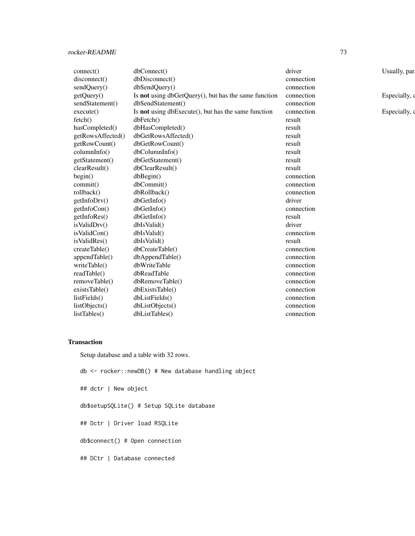| connect()         | dbConnect()                                          | driver     | Usually, par  |
|-------------------|------------------------------------------------------|------------|---------------|
| disconnect()      | dbDisconnect()                                       | connection |               |
| sendQuery()       | dbSendQuery()                                        | connection |               |
| getQuery()        | Is not using dbGetQuery(), but has the same function | connection | Especially, o |
| sendStatement()   | dbSendStatement()                                    | connection |               |
| execute()         | Is not using dbExecute(), but has the same function  | connection | Especially, o |
| fetch()           | dbFetch()                                            | result     |               |
| hasCompleted()    | dbHasCompleted()                                     | result     |               |
| getRowsAffected() | dbGetRowsAffected()                                  | result     |               |
| getRowCount()     | dbGetRowCount()                                      | result     |               |
| columnInfo()      | dbColumnInfo()                                       | result     |               |
| getStatement()    | dbGetStatement()                                     | result     |               |
| clearResult()     | dbClearResult()                                      | result     |               |
| begin()           | dbBegin()                                            | connection |               |
| commit()          | dbCommit()                                           | connection |               |
| rollback()        | dbRollback()                                         | connection |               |
| getInfoDrv()      | dbGetInfo()                                          | driver     |               |
| getInfoCon()      | dbGetInfo()                                          | connection |               |
| getInfoRes()      | dbGetInfo()                                          | result     |               |
| isValidDrv()      | dbIsValid()                                          | driver     |               |
| isValidCon()      | dbIsValid()                                          | connection |               |
| isValidRes()      | dbIsValid()                                          | result     |               |
| createTable()     | dbCreateTable()                                      | connection |               |
| appendTable()     | dbAppendTable()                                      | connection |               |
| writeTable()      | dbWriteTable                                         | connection |               |
| readTable()       | dbReadTable                                          | connection |               |
| removeTable()     | dbRemoveTable()                                      | connection |               |
| existsTable()     | dbExistsTable()                                      | connection |               |
| listFields()      | dbListFields()                                       | connection |               |
| listObjects()     | dbListObjects()                                      | connection |               |
| listTables()      | dbListTables()                                       | connection |               |

# Transaction

Setup database and a table with 32 rows.

db <- rocker::newDB() # New database handling object ## dctr | New object db\$setupSQLite() # Setup SQLite database ## Dctr | Driver load RSQLite db\$connect() # Open connection ## DCtr | Database connected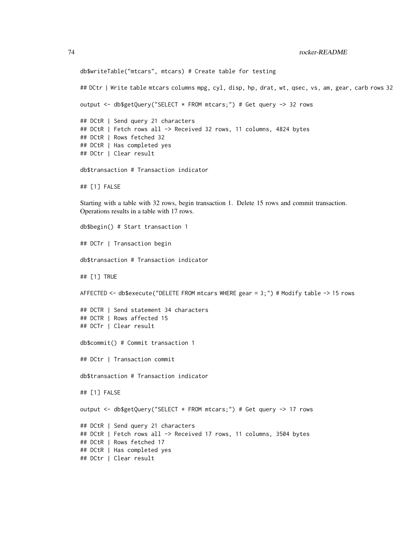```
db$writeTable("mtcars", mtcars) # Create table for testing
## DCtr | Write table mtcars columns mpg, cyl, disp, hp, drat, wt, qsec, vs, am, gear, carb rows 32
output <- db$getQuery("SELECT * FROM mtcars;") # Get query -> 32 rows
## DCtR | Send query 21 characters
## DCtR | Fetch rows all -> Received 32 rows, 11 columns, 4824 bytes
## DCtR | Rows fetched 32
## DCtR | Has completed yes
## DCtr | Clear result
db$transaction # Transaction indicator
## [1] FALSE
Starting with a table with 32 rows, begin transaction 1. Delete 15 rows and commit transaction.
Operations results in a table with 17 rows.
db$begin() # Start transaction 1
## DCTr | Transaction begin
db$transaction # Transaction indicator
## [1] TRUE
AFFECTED <- db$execute("DELETE FROM mtcars WHERE gear = 3;") # Modify table -> 15 rows
## DCTR | Send statement 34 characters
## DCTR | Rows affected 15
## DCTr | Clear result
db$commit() # Commit transaction 1
## DCtr | Transaction commit
db$transaction # Transaction indicator
## [1] FALSE
output <- db$getQuery("SELECT * FROM mtcars;") # Get query -> 17 rows
## DCtR | Send query 21 characters
## DCtR | Fetch rows all -> Received 17 rows, 11 columns, 3504 bytes
## DCtR | Rows fetched 17
## DCtR | Has completed yes
## DCtr | Clear result
```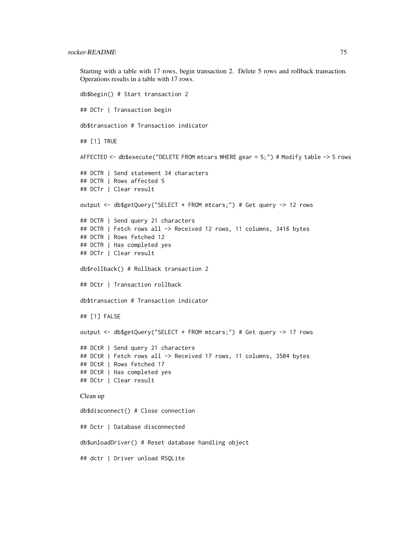Starting with a table with 17 rows, begin transaction 2. Delete 5 rows and rollback transaction. Operations results in a table with 17 rows. db\$begin() # Start transaction 2

```
## DCTr | Transaction begin
db$transaction # Transaction indicator
## [1] TRUE
AFFECTED <- db$execute("DELETE FROM mtcars WHERE gear = 5;") # Modify table -> 5 rows
## DCTR | Send statement 34 characters
## DCTR | Rows affected 5
## DCTr | Clear result
output <- db$getQuery("SELECT * FROM mtcars;") # Get query -> 12 rows
## DCTR | Send query 21 characters
## DCTR | Fetch rows all -> Received 12 rows, 11 columns, 3416 bytes
## DCTR | Rows fetched 12
## DCTR | Has completed yes
## DCTr | Clear result
db$rollback() # Rollback transaction 2
## DCtr | Transaction rollback
db$transaction # Transaction indicator
## [1] FALSE
output <- db$getQuery("SELECT * FROM mtcars;") # Get query -> 17 rows
## DCtR | Send query 21 characters
## DCtR | Fetch rows all -> Received 17 rows, 11 columns, 3504 bytes
## DCtR | Rows fetched 17
## DCtR | Has completed yes
## DCtr | Clear result
Clean up
db$disconnect() # Close connection
## Dctr | Database disconnected
db$unloadDriver() # Reset database handling object
```
## dctr | Driver unload RSQLite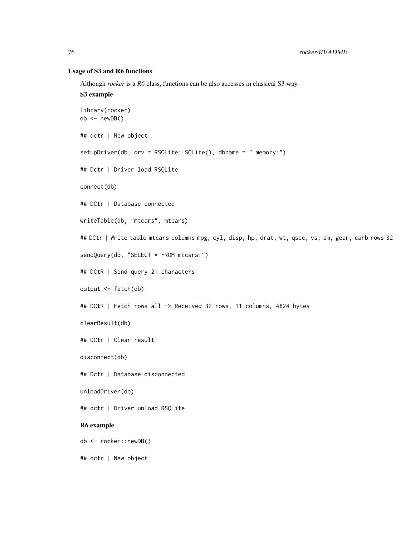# Usage of S3 and R6 functions

Although *rocker* is a *R6* class, functions can be also accesses in classical S3 way.

# S3 example

```
library(rocker)
db \leftarrow newDB()## dctr | New object
setupDriver(db, drv = RSQLite::SQLite(), dbname = ":memory:")
## Dctr | Driver load RSQLite
connect(db)
## DCtr | Database connected
writeTable(db, "mtcars", mtcars)
## DCtr | Write table mtcars columns mpg, cyl, disp, hp, drat, wt, qsec, vs, am, gear, carb rows 32
sendQuery(db, "SELECT * FROM mtcars;")
## DCtR | Send query 21 characters
output <- fetch(db)
## DCtR | Fetch rows all -> Received 32 rows, 11 columns, 4824 bytes
clearResult(db)
## DCtr | Clear result
disconnect(db)
## Dctr | Database disconnected
unloadDriver(db)
## dctr | Driver unload RSQLite
R6 example
db <- rocker::newDB()
## dctr | New object
```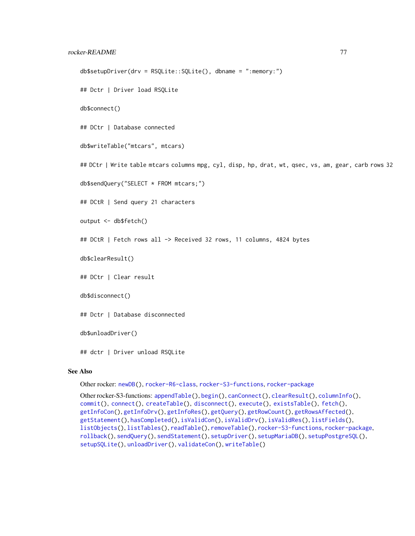# <span id="page-76-0"></span>rocker-README 77

```
db$setupDriver(drv = RSQLite::SQLite(), dbname = ":memory:")
```
## Dctr | Driver load RSQLite

db\$connect()

## DCtr | Database connected

db\$writeTable("mtcars", mtcars)

## DCtr | Write table mtcars columns mpg, cyl, disp, hp, drat, wt, qsec, vs, am, gear, carb rows 32

db\$sendQuery("SELECT \* FROM mtcars;")

## DCtR | Send query 21 characters

output <- db\$fetch()

## DCtR | Fetch rows all -> Received 32 rows, 11 columns, 4824 bytes

db\$clearResult()

## DCtr | Clear result

db\$disconnect()

## Dctr | Database disconnected

db\$unloadDriver()

## dctr | Driver unload RSQLite

#### See Also

Other rocker: [newDB\(](#page-27-0)), [rocker-R6-class](#page-29-0), [rocker-S3-functions](#page-77-0), [rocker-package](#page-0-0)

Other rocker-S3-functions: [appendTable\(](#page-1-0)), [begin\(](#page-2-0)), [canConnect\(](#page-3-0)), [clearResult\(](#page-4-0)), [columnInfo\(](#page-5-0)), [commit\(](#page-6-0)), [connect\(](#page-7-0)), [createTable\(](#page-8-0)), [disconnect\(](#page-9-0)), [execute\(](#page-10-0)), [existsTable\(](#page-11-0)), [fetch\(](#page-12-0)), [getInfoCon\(](#page-13-0)), [getInfoDrv\(](#page-14-0)), [getInfoRes\(](#page-15-0)), [getQuery\(](#page-16-0)), [getRowCount\(](#page-17-0)), [getRowsAffected\(](#page-18-0)), [getStatement\(](#page-19-0)), [hasCompleted\(](#page-20-0)), [isValidCon\(](#page-21-0)), [isValidDrv\(](#page-22-0)), [isValidRes\(](#page-23-0)), [listFields\(](#page-24-0)), [listObjects\(](#page-25-0)), [listTables\(](#page-26-0)), [readTable\(](#page-27-1)), [removeTable\(](#page-28-0)), [rocker-S3-functions](#page-77-0), [rocker-package](#page-0-0), [rollback\(](#page-77-1)), [sendQuery\(](#page-78-0)), [sendStatement\(](#page-79-0)), [setupDriver\(](#page-80-0)), [setupMariaDB\(](#page-81-0)), [setupPostgreSQL\(](#page-82-0)), [setupSQLite\(](#page-84-0)), [unloadDriver\(](#page-85-0)), [validateCon\(](#page-85-1)), [writeTable\(](#page-86-0))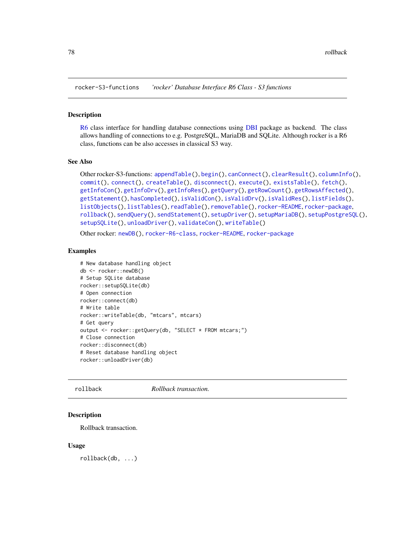<span id="page-77-2"></span><span id="page-77-0"></span>rocker-S3-functions *'rocker' Database Interface R6 Class - S3 functions*

#### Description

[R6](#page-0-0) class interface for handling database connections using [DBI](#page-0-0) package as backend. The class allows handling of connections to e.g. PostgreSQL, MariaDB and SQLite. Although rocker is a R6 class, functions can be also accesses in classical S3 way.

# See Also

```
Other rocker-S3-functions: appendTable(), begin(), canConnect(), clearResult(), columnInfo(),
commit(), connect(), createTable(), disconnect(), execute(), existsTable(), fetch(),
getInfoCon(), getInfoDrv(), getInfoRes(), getQuery(), getRowCount(), getRowsAffected(),
getStatement(), hasCompleted(), isValidCon(), isValidDrv(), isValidRes(), listFields(),
listObjects(), listTables(), readTable(), removeTable(), rocker-README, rocker-package,
rollback(), sendQuery(), sendStatement(), setupDriver(), setupMariaDB(), setupPostgreSQL(),
setupSQLite(), unloadDriver(), validateCon(), writeTable()
```
Other rocker: [newDB\(](#page-27-0)), [rocker-R6-class](#page-29-0), [rocker-README](#page-55-0), [rocker-package](#page-0-0)

#### Examples

```
# New database handling object
db <- rocker::newDB()
# Setup SQLite database
rocker::setupSQLite(db)
# Open connection
rocker::connect(db)
# Write table
rocker::writeTable(db, "mtcars", mtcars)
# Get query
output <- rocker::getQuery(db, "SELECT * FROM mtcars;")
# Close connection
rocker::disconnect(db)
# Reset database handling object
rocker::unloadDriver(db)
```
<span id="page-77-1"></span>

rollback *Rollback transaction.*

# Description

Rollback transaction.

#### Usage

rollback(db, ...)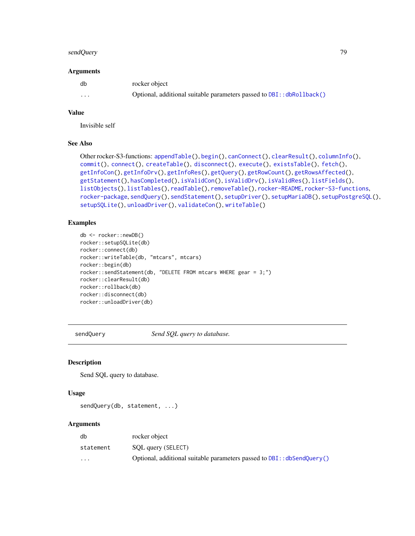#### <span id="page-78-1"></span>sendQuery 79

#### Arguments

| db       | rocker object                                                         |
|----------|-----------------------------------------------------------------------|
| $\cdots$ | Optional, additional suitable parameters passed to DBI:: dbRollback() |

#### Value

Invisible self

# See Also

```
Other rocker-S3-functions: appendTable(), begin(), canConnect(), clearResult(), columnInfo(),
commit(), connect(), createTable(), disconnect(), execute(), existsTable(), fetch(),
getInfoCon(), getInfoDrv(), getInfoRes(), getQuery(), getRowCount(), getRowsAffected(),
getStatement(), hasCompleted(), isValidCon(), isValidDrv(), isValidRes(), listFields(),
listObjects(), listTables(), readTable(), removeTable(), rocker-README, rocker-S3-functions,
rocker-package, sendQuery(), sendStatement(), setupDriver(), setupMariaDB(), setupPostgreSQL(),
setupSQLite(), unloadDriver(), validateCon(), writeTable()
```
# Examples

```
db <- rocker::newDB()
rocker::setupSQLite(db)
rocker::connect(db)
rocker::writeTable(db, "mtcars", mtcars)
rocker::begin(db)
rocker::sendStatement(db, "DELETE FROM mtcars WHERE gear = 3;")
rocker::clearResult(db)
rocker::rollback(db)
rocker::disconnect(db)
rocker::unloadDriver(db)
```
<span id="page-78-0"></span>sendQuery *Send SQL query to database.*

# Description

Send SQL query to database.

# Usage

```
sendQuery(db, statement, ...)
```
# Arguments

| db                      | rocker object                                                          |
|-------------------------|------------------------------------------------------------------------|
| statement               | SQL query (SELECT)                                                     |
| $\cdot$ $\cdot$ $\cdot$ | Optional, additional suitable parameters passed to DBI:: dbSendQuery() |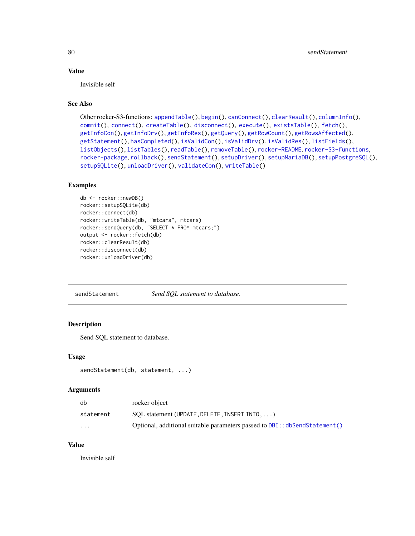# <span id="page-79-1"></span>Value

Invisible self

# See Also

```
Other rocker-S3-functions: appendTable(), begin(), canConnect(), clearResult(), columnInfo(),
commit(), connect(), createTable(), disconnect(), execute(), existsTable(), fetch(),
getInfoCon(), getInfoDrv(), getInfoRes(), getQuery(), getRowCount(), getRowsAffected(),
getStatement(), hasCompleted(), isValidCon(), isValidDrv(), isValidRes(), listFields(),
listObjects(), listTables(), readTable(), removeTable(), rocker-README, rocker-S3-functions,
rocker-package, rollback(), sendStatement(), setupDriver(), setupMariaDB(), setupPostgreSQL(),
setupSQLite(), unloadDriver(), validateCon(), writeTable()
```
#### Examples

```
db <- rocker::newDB()
rocker::setupSQLite(db)
rocker::connect(db)
rocker::writeTable(db, "mtcars", mtcars)
rocker::sendQuery(db, "SELECT * FROM mtcars;")
output <- rocker::fetch(db)
rocker::clearResult(db)
rocker::disconnect(db)
rocker::unloadDriver(db)
```
<span id="page-79-0"></span>sendStatement *Send SQL statement to database.*

# Description

Send SQL statement to database.

# Usage

```
sendStatement(db, statement, ...)
```
# Arguments

| db        | rocker object                                                              |
|-----------|----------------------------------------------------------------------------|
| statement | $SOL$ statement (UPDATE, DELETE, INSERT INTO, $\ldots$ )                   |
| $\cdots$  | Optional, additional suitable parameters passed to DBI:: dbSendStatement() |

# Value

Invisible self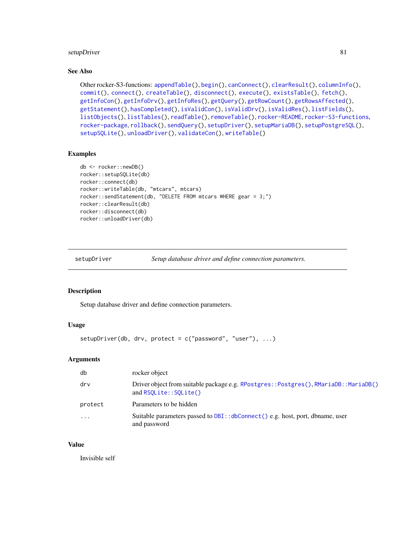# <span id="page-80-1"></span>setupDriver 81

# See Also

```
Other rocker-S3-functions: appendTable(), begin(), canConnect(), clearResult(), columnInfo(),
commit(), connect(), createTable(), disconnect(), execute(), existsTable(), fetch(),
getInfoCon(), getInfoDrv(), getInfoRes(), getQuery(), getRowCount(), getRowsAffected(),
getStatement(), hasCompleted(), isValidCon(), isValidDrv(), isValidRes(), listFields(),
listObjects(), listTables(), readTable(), removeTable(), rocker-README, rocker-S3-functions,
rocker-package, rollback(), sendQuery(), setupDriver(), setupMariaDB(), setupPostgreSQL(),
setupSQLite(), unloadDriver(), validateCon(), writeTable()
```
#### Examples

```
db <- rocker::newDB()
rocker::setupSQLite(db)
rocker::connect(db)
rocker::writeTable(db, "mtcars", mtcars)
rocker::sendStatement(db, "DELETE FROM mtcars WHERE gear = 3;")
rocker::clearResult(db)
rocker::disconnect(db)
rocker::unloadDriver(db)
```
<span id="page-80-0"></span>setupDriver *Setup database driver and define connection parameters.*

# Description

Setup database driver and define connection parameters.

# Usage

```
setupDriver(db, drv, protect = c("password", "user"), ...)
```
#### Arguments

| db        | rocker object                                                                                                  |
|-----------|----------------------------------------------------------------------------------------------------------------|
| drv       | Driver object from suitable package e.g. RPostgres:: Postgres(), RMariaDB:: MariaDB()<br>and RSQLite::SQLite() |
| protect   | Parameters to be hidden                                                                                        |
| $\ddotsc$ | Suitable parameters passed to DBI:: dbConnect () e.g. host, port, dbname, user<br>and password                 |

#### Value

Invisible self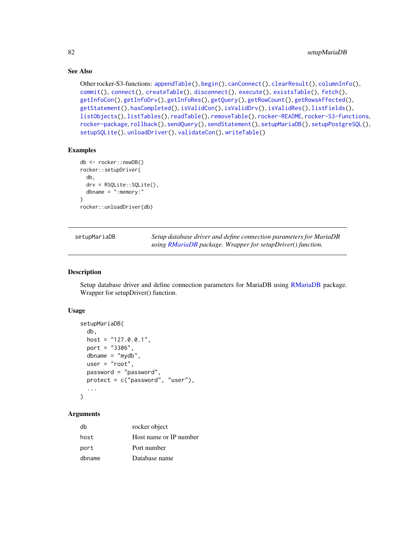# See Also

```
Other rocker-S3-functions: appendTable(), begin(), canConnect(), clearResult(), columnInfo(),
commit(), connect(), createTable(), disconnect(), execute(), existsTable(), fetch(),
getInfoCon(), getInfoDrv(), getInfoRes(), getQuery(), getRowCount(), getRowsAffected(),
getStatement(), hasCompleted(), isValidCon(), isValidDrv(), isValidRes(), listFields(),
listObjects(), listTables(), readTable(), removeTable(), rocker-README, rocker-S3-functions,
rocker-package, rollback(), sendQuery(), sendStatement(), setupMariaDB(), setupPostgreSQL(),
setupSQLite(), unloadDriver(), validateCon(), writeTable()
```
## Examples

```
db <- rocker::newDB()
rocker::setupDriver(
 db,
 drv = RSQLite::SQLite(),
 dbname = ":memory:"
)
rocker::unloadDriver(db)
```
<span id="page-81-0"></span>

| setupMariaDB | Setup database driver and define connection parameters for MariaDB |
|--------------|--------------------------------------------------------------------|
|              | using RMariaDB package. Wrapper for setupDriver() function.        |

# Description

Setup database driver and define connection parameters for MariaDB using [RMariaDB](#page-0-0) package. Wrapper for setupDriver() function.

#### Usage

```
setupMariaDB(
  db,
  host = "127.0.0.1",
  port = "3306",
  dbname = m\gammadb",
  user = "root",password = "password",
  protect = c("password", "user"),
  ...
\lambda
```
## Arguments

| db     | rocker object          |
|--------|------------------------|
| host   | Host name or IP number |
| port   | Port number            |
| dbname | Database name          |

<span id="page-81-1"></span>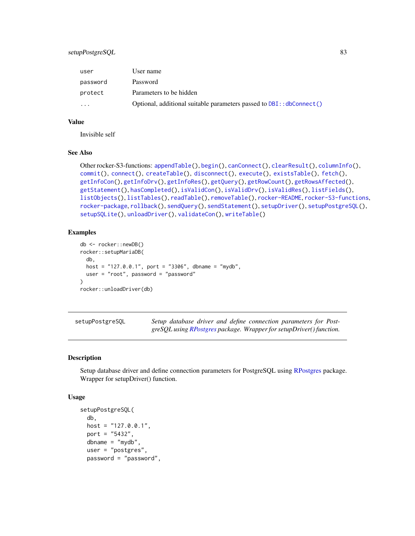# <span id="page-82-1"></span>setupPostgreSQL 83

| user     | User name                                                                |
|----------|--------------------------------------------------------------------------|
| password | Password                                                                 |
| protect  | Parameters to be hidden                                                  |
| .        | Optional, additional suitable parameters passed to $DBI$ : $dbConnect()$ |

#### Value

Invisible self

# See Also

```
Other rocker-S3-functions: appendTable(), begin(), canConnect(), clearResult(), columnInfo(),
commit(), connect(), createTable(), disconnect(), execute(), existsTable(), fetch(),
getInfoCon(), getInfoDrv(), getInfoRes(), getQuery(), getRowCount(), getRowsAffected(),
getStatement(), hasCompleted(), isValidCon(), isValidDrv(), isValidRes(), listFields(),
listObjects(), listTables(), readTable(), removeTable(), rocker-README, rocker-S3-functions,
rocker-package, rollback(), sendQuery(), sendStatement(), setupDriver(), setupPostgreSQL(),
setupSQLite(), unloadDriver(), validateCon(), writeTable()
```
# Examples

```
db <- rocker::newDB()
rocker::setupMariaDB(
 db,
 host = "127.0.0.1", port = "3306", dbname = "mydb",
 user = "root", password = "password"
\mathcal{L}rocker::unloadDriver(db)
```
<span id="page-82-0"></span>

| setupPostgreSQL | Setup database driver and define connection parameters for Post-    |  |
|-----------------|---------------------------------------------------------------------|--|
|                 | greSQL using RPostgres package. Wrapper for setupDriver() function. |  |

#### Description

Setup database driver and define connection parameters for PostgreSQL using [RPostgres](#page-0-0) package. Wrapper for setupDriver() function.

#### Usage

```
setupPostgreSQL(
  db,
 host = "127.0.0.1",
 port = "5432",
  dbname = "mydb",
  user = "postgres",
  password = "password",
```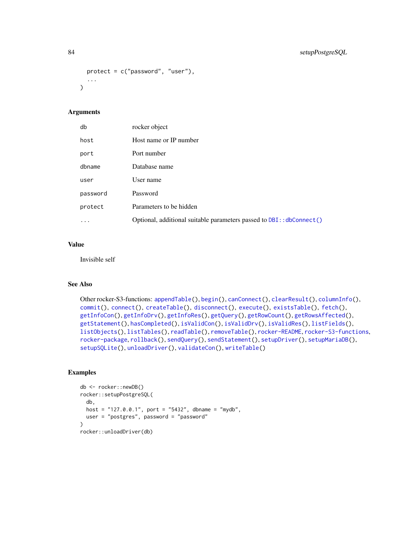```
protect = c("password", "user"),
  ...
\lambda
```
# Arguments

| db        | rocker object                                                        |
|-----------|----------------------------------------------------------------------|
| host      | Host name or IP number                                               |
| port      | Port number                                                          |
| dbname    | Database name                                                        |
| user      | User name                                                            |
| password  | Password                                                             |
| protect   | Parameters to be hidden                                              |
| $\ddotsc$ | Optional, additional suitable parameters passed to DBI:: dbConnect() |

# Value

Invisible self

# See Also

```
Other rocker-S3-functions: appendTable(), begin(), canConnect(), clearResult(), columnInfo(),
commit(), connect(), createTable(), disconnect(), execute(), existsTable(), fetch(),
getInfoCon(), getInfoDrv(), getInfoRes(), getQuery(), getRowCount(), getRowsAffected(),
getStatement(), hasCompleted(), isValidCon(), isValidDrv(), isValidRes(), listFields(),
listObjects(), listTables(), readTable(), removeTable(), rocker-README, rocker-S3-functions,
rocker-package, rollback(), sendQuery(), sendStatement(), setupDriver(), setupMariaDB(),
setupSQLite(), unloadDriver(), validateCon(), writeTable()
```
# Examples

```
db <- rocker::newDB()
rocker::setupPostgreSQL(
 db,
 host = "127.0.0.1", port = "5432", dbname = "mydb",
 user = "postgres", password = "password"
\mathcal{L}rocker::unloadDriver(db)
```
<span id="page-83-0"></span>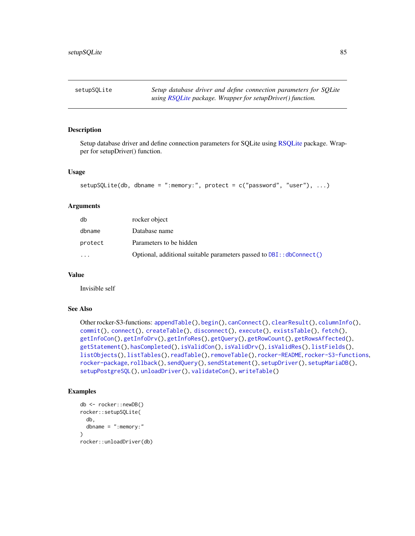<span id="page-84-1"></span><span id="page-84-0"></span>setupSQLite *Setup database driver and define connection parameters for SQLite using [RSQLite](#page-0-0) package. Wrapper for setupDriver() function.*

#### Description

Setup database driver and define connection parameters for SQLite using [RSQLite](#page-0-0) package. Wrapper for setupDriver() function.

#### Usage

```
setupSQLite(db, dbname = ":memory:", protect = c("password", "user"), ...)
```
#### Arguments

| db        | rocker object                                                            |
|-----------|--------------------------------------------------------------------------|
| dbname    | Database name                                                            |
| protect   | Parameters to be hidden                                                  |
| $\ddotsc$ | Optional, additional suitable parameters passed to $DBI$ : : dbConnect() |

# Value

Invisible self

#### See Also

```
Other rocker-S3-functions: appendTable(), begin(), canConnect(), clearResult(), columnInfo(),
commit(), connect(), createTable(), disconnect(), execute(), existsTable(), fetch(),
getInfoCon(), getInfoDrv(), getInfoRes(), getQuery(), getRowCount(), getRowsAffected(),
getStatement(), hasCompleted(), isValidCon(), isValidDrv(), isValidRes(), listFields(),
listObjects(), listTables(), readTable(), removeTable(), rocker-README, rocker-S3-functions,
rocker-package, rollback(), sendQuery(), sendStatement(), setupDriver(), setupMariaDB(),
setupPostgreSQL(), unloadDriver(), validateCon(), writeTable()
```
# Examples

```
db <- rocker::newDB()
rocker::setupSQLite(
 db,
 dbname = ":memory:"
)
rocker::unloadDriver(db)
```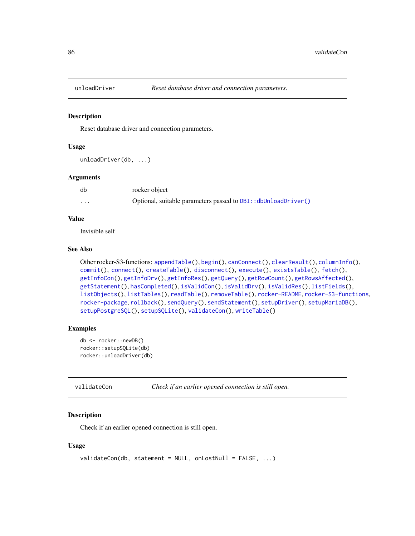<span id="page-85-2"></span><span id="page-85-0"></span>

#### Description

Reset database driver and connection parameters.

#### Usage

unloadDriver(db, ...)

#### Arguments

| db      | rocker object                                                  |
|---------|----------------------------------------------------------------|
| $\cdot$ | Optional, suitable parameters passed to DBI:: dbUnloadDriver() |

# Value

Invisible self

# See Also

```
Other rocker-S3-functions: appendTable(), begin(), canConnect(), clearResult(), columnInfo(),
commit(), connect(), createTable(), disconnect(), execute(), existsTable(), fetch(),
getInfoCon(), getInfoDrv(), getInfoRes(), getQuery(), getRowCount(), getRowsAffected(),
getStatement(), hasCompleted(), isValidCon(), isValidDrv(), isValidRes(), listFields(),
listObjects(), listTables(), readTable(), removeTable(), rocker-README, rocker-S3-functions,
rocker-package, rollback(), sendQuery(), sendStatement(), setupDriver(), setupMariaDB(),
setupPostgreSQL(), setupSQLite(), validateCon(), writeTable()
```
# Examples

```
db <- rocker::newDB()
rocker::setupSQLite(db)
rocker::unloadDriver(db)
```

```
validateCon Check if an earlier opened connection is still open.
```
# Description

Check if an earlier opened connection is still open.

#### Usage

```
validateCon(db, statement = NULL, onLostNull = FALSE, ...)
```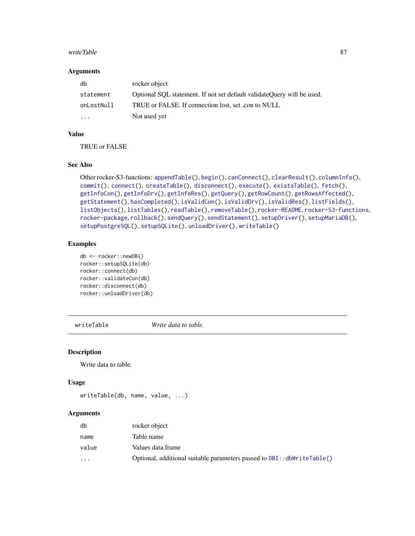#### <span id="page-86-1"></span>writeTable 87

#### Arguments

| db                      | rocker object                                                          |
|-------------------------|------------------------------------------------------------------------|
| statement               | Optional SOL statement. If not set default validateOuery will be used. |
| onLostNull              | TRUE or FALSE. If connection lost, set .con to NULL                    |
| $\cdot$ $\cdot$ $\cdot$ | Not used yet                                                           |

# Value

TRUE or FALSE

# See Also

```
Other rocker-S3-functions: appendTable(), begin(), canConnect(), clearResult(), columnInfo(),
commit(), connect(), createTable(), disconnect(), execute(), existsTable(), fetch(),
getInfoCon(), getInfoDrv(), getInfoRes(), getQuery(), getRowCount(), getRowsAffected(),
getStatement(), hasCompleted(), isValidCon(), isValidDrv(), isValidRes(), listFields(),
listObjects(), listTables(), readTable(), removeTable(), rocker-README, rocker-S3-functions,
rocker-package, rollback(), sendQuery(), sendStatement(), setupDriver(), setupMariaDB(),
setupPostgreSQL(), setupSQLite(), unloadDriver(), writeTable()
```
# Examples

```
db <- rocker::newDB()
rocker::setupSQLite(db)
rocker::connect(db)
rocker::validateCon(db)
rocker::disconnect(db)
rocker::unloadDriver(db)
```
<span id="page-86-0"></span>writeTable *Write data to table.*

#### Description

Write data to table.

# Usage

```
writeTable(db, name, value, ...)
```
# Arguments

| db                      | rocker object                                                           |
|-------------------------|-------------------------------------------------------------------------|
| name                    | Table name                                                              |
| value                   | Values data.frame                                                       |
| $\cdot$ $\cdot$ $\cdot$ | Optional, additional suitable parameters passed to DBI:: dbWriteTable() |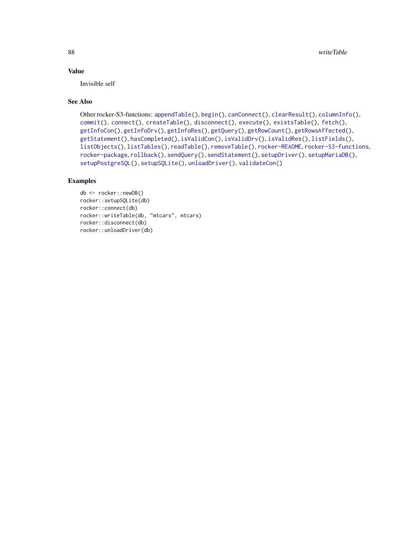# <span id="page-87-0"></span>Value

Invisible self

# See Also

```
Other rocker-S3-functions: appendTable(), begin(), canConnect(), clearResult(), columnInfo(),
commit(), connect(), createTable(), disconnect(), execute(), existsTable(), fetch(),
getInfoCon(), getInfoDrv(), getInfoRes(), getQuery(), getRowCount(), getRowsAffected(),
getStatement(), hasCompleted(), isValidCon(), isValidDrv(), isValidRes(), listFields(),
listObjects(), listTables(), readTable(), removeTable(), rocker-README, rocker-S3-functions,
rocker-package, rollback(), sendQuery(), sendStatement(), setupDriver(), setupMariaDB(),
setupPostgreSQL(), setupSQLite(), unloadDriver(), validateCon()
```
# Examples

```
db <- rocker::newDB()
rocker::setupSQLite(db)
rocker::connect(db)
rocker::writeTable(db, "mtcars", mtcars)
rocker::disconnect(db)
rocker::unloadDriver(db)
```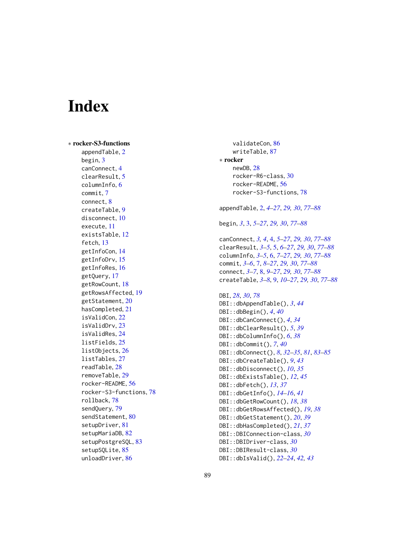# Index

∗ rocker-S3-functions appendTable, [2](#page-1-1) begin, [3](#page-2-1) canConnect, [4](#page-3-1) clearResult, [5](#page-4-1) columnInfo, [6](#page-5-1) commit, [7](#page-6-1) connect, [8](#page-7-1) createTable, [9](#page-8-1) disconnect, [10](#page-9-1) execute, [11](#page-10-1) existsTable, [12](#page-11-1) fetch, [13](#page-12-1) getInfoCon, [14](#page-13-1) getInfoDrv, [15](#page-14-1) getInfoRes, [16](#page-15-1) getQuery, [17](#page-16-1) getRowCount, [18](#page-17-1) getRowsAffected, [19](#page-18-1) getStatement, [20](#page-19-1) hasCompleted, [21](#page-20-1) isValidCon, [22](#page-21-1) isValidDrv, [23](#page-22-1) isValidRes, [24](#page-23-1) listFields, [25](#page-24-1) listObjects, [26](#page-25-1) listTables, [27](#page-26-1) readTable, [28](#page-27-2) removeTable, [29](#page-28-1) rocker-README, [56](#page-55-1) rocker-S3-functions, [78](#page-77-2) rollback, [78](#page-77-2) sendQuery, [79](#page-78-1) sendStatement, [80](#page-79-1) setupDriver, [81](#page-80-1) setupMariaDB, [82](#page-81-1) setupPostgreSQL, [83](#page-82-1) setupSQLite, [85](#page-84-1) unloadDriver, [86](#page-85-2)

validateCon, [86](#page-85-2) writeTable, [87](#page-86-1) ∗ rocker newDB, [28](#page-27-2) rocker-R6-class, [30](#page-29-1) rocker-README, [56](#page-55-1) rocker-S3-functions, [78](#page-77-2) appendTable, [2,](#page-1-1) *[4](#page-3-1)[–27](#page-26-1)*, *[29,](#page-28-1) [30](#page-29-1)*, *[77](#page-76-0)[–88](#page-87-0)* begin, *[3](#page-2-1)*, [3,](#page-2-1) *[5](#page-4-1)[–27](#page-26-1)*, *[29,](#page-28-1) [30](#page-29-1)*, *[77](#page-76-0)[–88](#page-87-0)* canConnect, *[3,](#page-2-1) [4](#page-3-1)*, [4,](#page-3-1) *[5](#page-4-1)[–27](#page-26-1)*, *[29,](#page-28-1) [30](#page-29-1)*, *[77](#page-76-0)[–88](#page-87-0)* clearResult, *[3](#page-2-1)[–5](#page-4-1)*, [5,](#page-4-1) *[6](#page-5-1)[–27](#page-26-1)*, *[29,](#page-28-1) [30](#page-29-1)*, *[77](#page-76-0)[–88](#page-87-0)* columnInfo, *[3](#page-2-1)[–5](#page-4-1)*, [6,](#page-5-1) *[7](#page-6-1)[–27](#page-26-1)*, *[29,](#page-28-1) [30](#page-29-1)*, *[77](#page-76-0)[–88](#page-87-0)* commit, *[3](#page-2-1)[–6](#page-5-1)*, [7,](#page-6-1) *[8](#page-7-1)[–27](#page-26-1)*, *[29,](#page-28-1) [30](#page-29-1)*, *[77](#page-76-0)[–88](#page-87-0)* connect, *[3](#page-2-1)[–7](#page-6-1)*, [8,](#page-7-1) *[9](#page-8-1)[–27](#page-26-1)*, *[29,](#page-28-1) [30](#page-29-1)*, *[77](#page-76-0)[–88](#page-87-0)* createTable, *[3](#page-2-1)[–8](#page-7-1)*, [9,](#page-8-1) *[10](#page-9-1)[–27](#page-26-1)*, *[29,](#page-28-1) [30](#page-29-1)*, *[77](#page-76-0)[–88](#page-87-0)* DBI, *[28](#page-27-2)*, *[30](#page-29-1)*, *[78](#page-77-2)* DBI::dbAppendTable(), *[3](#page-2-1)*, *[44](#page-43-0)* DBI::dbBegin(), *[4](#page-3-1)*, *[40](#page-39-0)* DBI::dbCanConnect(), *[4](#page-3-1)*, *[34](#page-33-0)* DBI::dbClearResult(), *[5](#page-4-1)*, *[39](#page-38-0)* DBI::dbColumnInfo(), *[6](#page-5-1)*, *[38](#page-37-0)* DBI::dbCommit(), *[7](#page-6-1)*, *[40](#page-39-0)* DBI::dbConnect(), *[8](#page-7-1)*, *[32](#page-31-0)[–35](#page-34-0)*, *[81](#page-80-1)*, *[83](#page-82-1)[–85](#page-84-1)* DBI::dbCreateTable(), *[9](#page-8-1)*, *[43](#page-42-0)* DBI::dbDisconnect(), *[10](#page-9-1)*, *[35](#page-34-0)* DBI::dbExistsTable(), *[12](#page-11-1)*, *[45](#page-44-0)* DBI::dbFetch(), *[13](#page-12-1)*, *[37](#page-36-0)* DBI::dbGetInfo(), *[14](#page-13-1)[–16](#page-15-1)*, *[41](#page-40-0)* DBI::dbGetRowCount(), *[18](#page-17-1)*, *[38](#page-37-0)* DBI::dbGetRowsAffected(), *[19](#page-18-1)*, *[38](#page-37-0)* DBI::dbGetStatement(), *[20](#page-19-1)*, *[39](#page-38-0)* DBI::dbHasCompleted(), *[21](#page-20-1)*, *[37](#page-36-0)* DBI::DBIConnection-class, *[30](#page-29-1)* DBI::DBIDriver-class, *[30](#page-29-1)* DBI::DBIResult-class, *[30](#page-29-1)*

DBI::dbIsValid(), *[22](#page-21-1)[–24](#page-23-1)*, *[42,](#page-41-0) [43](#page-42-0)*